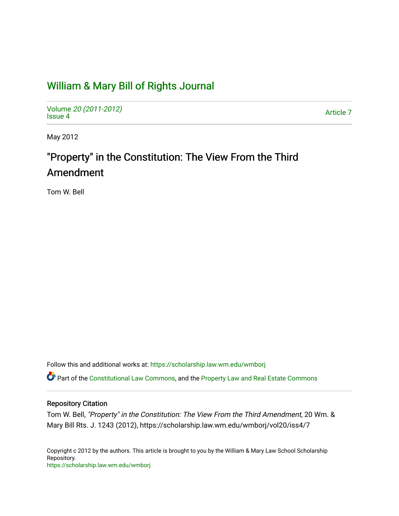# [William & Mary Bill of Rights Journal](https://scholarship.law.wm.edu/wmborj)

Volume [20 \(2011-2012\)](https://scholarship.law.wm.edu/wmborj/vol20)  volume 20 (2011-2012)<br>[Issue 4](https://scholarship.law.wm.edu/wmborj/vol20/iss4) Article 7

May 2012

# "Property" in the Constitution: The View From the Third Amendment

Tom W. Bell

Follow this and additional works at: [https://scholarship.law.wm.edu/wmborj](https://scholarship.law.wm.edu/wmborj?utm_source=scholarship.law.wm.edu%2Fwmborj%2Fvol20%2Fiss4%2F7&utm_medium=PDF&utm_campaign=PDFCoverPages) 

Part of the [Constitutional Law Commons,](http://network.bepress.com/hgg/discipline/589?utm_source=scholarship.law.wm.edu%2Fwmborj%2Fvol20%2Fiss4%2F7&utm_medium=PDF&utm_campaign=PDFCoverPages) and the [Property Law and Real Estate Commons](http://network.bepress.com/hgg/discipline/897?utm_source=scholarship.law.wm.edu%2Fwmborj%2Fvol20%2Fiss4%2F7&utm_medium=PDF&utm_campaign=PDFCoverPages) 

# Repository Citation

Tom W. Bell, "Property" in the Constitution: The View From the Third Amendment, 20 Wm. & Mary Bill Rts. J. 1243 (2012), https://scholarship.law.wm.edu/wmborj/vol20/iss4/7

Copyright c 2012 by the authors. This article is brought to you by the William & Mary Law School Scholarship Repository. <https://scholarship.law.wm.edu/wmborj>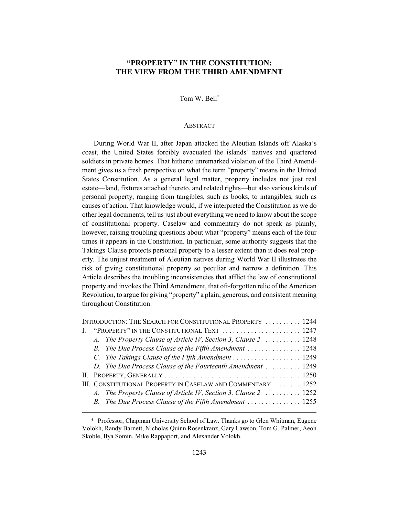# **"PROPERTY" IN THE CONSTITUTION: THE VIEW FROM THE THIRD AMENDMENT**

Tom W. Bell\*

#### **ABSTRACT**

During World War II, after Japan attacked the Aleutian Islands off Alaska's coast, the United States forcibly evacuated the islands' natives and quartered soldiers in private homes. That hitherto unremarked violation of the Third Amendment gives us a fresh perspective on what the term "property" means in the United States Constitution. As a general legal matter, property includes not just real estate—land, fixtures attached thereto, and related rights—but also various kinds of personal property, ranging from tangibles, such as books, to intangibles, such as causes of action. That knowledge would, if we interpreted the Constitution as we do other legal documents, tell us just about everything we need to know about the scope of constitutional property. Caselaw and commentary do not speak as plainly, however, raising troubling questions about what "property" means each of the four times it appears in the Constitution. In particular, some authority suggests that the Takings Clause protects personal property to a lesser extent than it does real property. The unjust treatment of Aleutian natives during World War II illustrates the risk of giving constitutional property so peculiar and narrow a definition. This Article describes the troubling inconsistencies that afflict the law of constitutional property and invokes the Third Amendment, that oft-forgotten relic of the American Revolution, to argue for giving "property" a plain, generous, and consistent meaning throughout Constitution.

| INTRODUCTION: THE SEARCH FOR CONSTITUTIONAL PROPERTY  1244 |                                                              |                                                                 |  |
|------------------------------------------------------------|--------------------------------------------------------------|-----------------------------------------------------------------|--|
|                                                            |                                                              | I. "PROPERTY" IN THE CONSTITUTIONAL TEXT  1247                  |  |
|                                                            |                                                              | A. The Property Clause of Article IV, Section 3, Clause 2  1248 |  |
|                                                            |                                                              | B. The Due Process Clause of the Fifth Amendment  1248          |  |
|                                                            |                                                              | C. The Takings Clause of the Fifth Amendment  1249              |  |
|                                                            |                                                              | D. The Due Process Clause of the Fourteenth Amendment  1249     |  |
|                                                            |                                                              |                                                                 |  |
|                                                            | III. CONSTITUTIONAL PROPERTY IN CASELAW AND COMMENTARY  1252 |                                                                 |  |
|                                                            |                                                              | A. The Property Clause of Article IV, Section 3, Clause 2  1252 |  |
|                                                            |                                                              | B. The Due Process Clause of the Fifth Amendment  1255          |  |

<sup>\*</sup> Professor, Chapman University School of Law. Thanks go to Glen Whitman, Eugene Volokh, Randy Barnett, Nicholas Quinn Rosenkranz, Gary Lawson, Tom G. Palmer, Aeon Skoble, Ilya Somin, Mike Rappaport, and Alexander Volokh.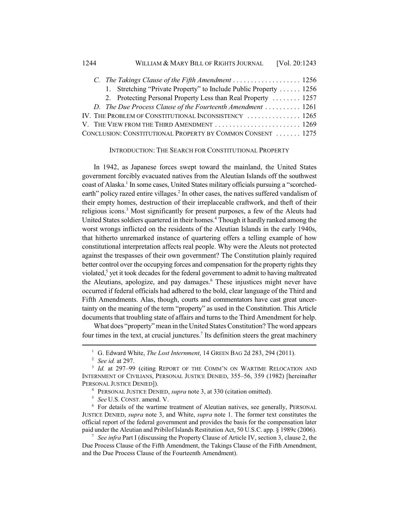| C. The Takings Clause of the Fifth Amendment  1256                |  |
|-------------------------------------------------------------------|--|
| 1. Stretching "Private Property" to Include Public Property  1256 |  |
| 2. Protecting Personal Property Less than Real Property  1257     |  |
| D. The Due Process Clause of the Fourteenth Amendment  1261       |  |
| IV. THE PROBLEM OF CONSTITUTIONAL INCONSISTENCY  1265             |  |
|                                                                   |  |
| CONCLUSION: CONSTITUTIONAL PROPERTY BY COMMON CONSENT  1275       |  |

# INTRODUCTION: THE SEARCH FOR CONSTITUTIONAL PROPERTY

In 1942, as Japanese forces swept toward the mainland, the United States government forcibly evacuated natives from the Aleutian Islands off the southwest coast of Alaska.<sup>1</sup> In some cases, United States military officials pursuing a "scorchedearth" policy razed entire villages.<sup>2</sup> In other cases, the natives suffered vandalism of their empty homes, destruction of their irreplaceable craftwork, and theft of their religious icons.<sup>3</sup> Most significantly for present purposes, a few of the Aleuts had United States soldiers quartered in their homes.<sup>4</sup> Though it hardly ranked among the worst wrongs inflicted on the residents of the Aleutian Islands in the early 1940s, that hitherto unremarked instance of quartering offers a telling example of how constitutional interpretation affects real people. Why were the Aleuts not protected against the trespasses of their own government? The Constitution plainly required better control over the occupying forces and compensation for the property rights they violated,<sup>5</sup> yet it took decades for the federal government to admit to having maltreated the Aleutians, apologize, and pay damages.<sup>6</sup> These injustices might never have occurred if federal officials had adhered to the bold, clear language of the Third and Fifth Amendments. Alas, though, courts and commentators have cast great uncertainty on the meaning of the term "property" as used in the Constitution. This Article documents that troubling state of affairs and turns to the Third Amendment for help.

What does "property" mean in the United States Constitution? The word appears four times in the text, at crucial junctures.<sup>7</sup> Its definition steers the great machinery

<sup>6</sup> For details of the wartime treatment of Aleutian natives, see generally, PERSONAL JUSTICE DENIED, *supra* note 3, and White, *supra* note 1. The former text constitutes the official report of the federal government and provides the basis for the compensation later paid under the Aleutian and Pribilof Islands Restitution Act, 50 U.S.C. app. § 1989c (2006).

<sup>7</sup> *See infra* Part I (discussing the Property Clause of Article IV, section 3, clause 2, the Due Process Clause of the Fifth Amendment, the Takings Clause of the Fifth Amendment, and the Due Process Clause of the Fourteenth Amendment).

<sup>&</sup>lt;sup>1</sup> G. Edward White, *The Lost Internment*, 14 GREEN BAG 2d 283, 294 (2011).

<sup>2</sup> *See id.* at 297.

<sup>&</sup>lt;sup>3</sup> *Id.* at 297-99 (citing REPORT OF THE COMM'N ON WARTIME RELOCATION AND INTERNMENT OF CIVILIANS, PERSONAL JUSTICE DENIED, 355–56, 359 (1982) [hereinafter PERSONAL JUSTICE DENIED]).

<sup>4</sup> PERSONAL JUSTICE DENIED, *supra* note 3, at 330 (citation omitted).

<sup>5</sup> *See* U.S. CONST. amend. V.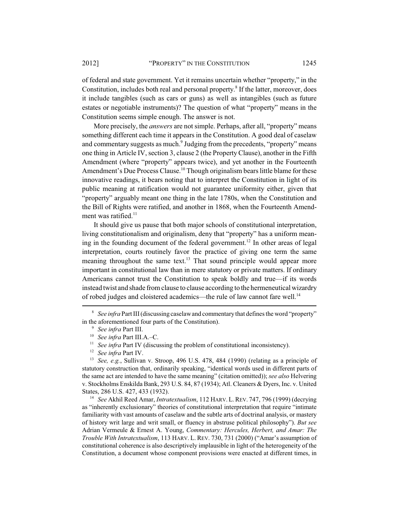of federal and state government. Yet it remains uncertain whether "property," in the Constitution, includes both real and personal property.<sup>8</sup> If the latter, moreover, does it include tangibles (such as cars or guns) as well as intangibles (such as future estates or negotiable instruments)? The question of what "property" means in the Constitution seems simple enough. The answer is not.

More precisely, the *answers* are not simple. Perhaps, after all, "property" means something different each time it appears in the Constitution. A good deal of caselaw and commentary suggests as much.<sup>9</sup> Judging from the precedents, "property" means one thing in Article IV, section 3, clause 2 (the Property Clause), another in the Fifth Amendment (where "property" appears twice), and yet another in the Fourteenth Amendment's Due Process Clause.<sup>10</sup> Though originalism bears little blame for these innovative readings, it bears noting that to interpret the Constitution in light of its public meaning at ratification would not guarantee uniformity either, given that "property" arguably meant one thing in the late 1780s, when the Constitution and the Bill of Rights were ratified, and another in 1868, when the Fourteenth Amendment was ratified. $11$ 

It should give us pause that both major schools of constitutional interpretation, living constitutionalism and originalism, deny that "property" has a uniform meaning in the founding document of the federal government.<sup>12</sup> In other areas of legal interpretation, courts routinely favor the practice of giving one term the same meaning throughout the same text.<sup>13</sup> That sound principle would appear more important in constitutional law than in mere statutory or private matters. If ordinary Americans cannot trust the Constitution to speak boldly and true—if its words instead twist and shade from clause to clause according to the hermeneutical wizardry of robed judges and cloistered academics—the rule of law cannot fare well.<sup>14</sup>

<sup>&</sup>lt;sup>8</sup> *See infra Part III* (discussing caselaw and commentary that defines the word "property" in the aforementioned four parts of the Constitution).

<sup>9</sup> *See infra* Part III.

<sup>10</sup> *See infra* Part III.A.–C.

<sup>&</sup>lt;sup>11</sup> *See infra* Part IV (discussing the problem of constitutional inconsistency).<br><sup>12</sup> *See infra* Part IV.

<sup>&</sup>lt;sup>13</sup> *See, e.g.*, Sullivan v. Stroop, 496 U.S. 478, 484 (1990) (relating as a principle of statutory construction that, ordinarily speaking, "identical words used in different parts of the same act are intended to have the same meaning" (citation omitted)); *see also* Helvering v. Stockholms Enskilda Bank, 293 U.S. 84, 87 (1934); Atl. Cleaners & Dyers, Inc. v. United States, 286 U.S. 427, 433 (1932).

<sup>14</sup> *See* Akhil Reed Amar, *Intratextualism*, 112 HARV. L.REV. 747, 796 (1999) (decrying as "inherently exclusionary" theories of constitutional interpretation that require "intimate familiarity with vast amounts of caselaw and the subtle arts of doctrinal analysis, or mastery of history writ large and writ small, or fluency in abstruse political philosophy"). *But see* Adrian Vermeule & Ernest A. Young, *Commentary: Hercules, Herbert, and Amar: The Trouble With Intratextualism*, 113 HARV. L. REV. 730, 731 (2000) ("Amar's assumption of constitutional coherence is also descriptively implausible in light of the heterogeneity of the Constitution, a document whose component provisions were enacted at different times, in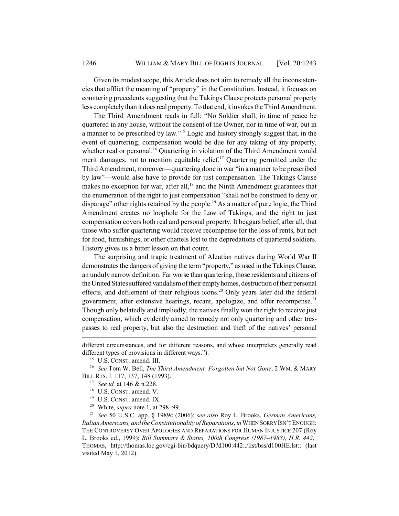Given its modest scope, this Article does not aim to remedy all the inconsistencies that afflict the meaning of "property" in the Constitution. Instead, it focuses on countering precedents suggesting that the Takings Clause protects personal property less completely than it does real property. To that end, it invokes the Third Amendment.

The Third Amendment reads in full: "No Soldier shall, in time of peace be quartered in any house, without the consent of the Owner, nor in time of war, but in a manner to be prescribed by law."15 Logic and history strongly suggest that, in the event of quartering, compensation would be due for any taking of any property, whether real or personal.<sup>16</sup> Quartering in violation of the Third Amendment would merit damages, not to mention equitable relief.<sup>17</sup> Quartering permitted under the Third Amendment, moreover—quartering done in war "in a manner to be prescribed by law"—would also have to provide for just compensation. The Takings Clause makes no exception for war, after all,<sup>18</sup> and the Ninth Amendment guarantees that the enumeration of the right to just compensation "shall not be construed to deny or disparage" other rights retained by the people.<sup>19</sup> As a matter of pure logic, the Third Amendment creates no loophole for the Law of Takings, and the right to just compensation covers both real and personal property. It beggars belief, after all, that those who suffer quartering would receive recompense for the loss of rents, but not for food, furnishings, or other chattels lost to the depredations of quartered soldiers. History gives us a bitter lesson on that count.

The surprising and tragic treatment of Aleutian natives during World War II demonstrates the dangers of giving the term "property," as used in the Takings Clause, an unduly narrow definition. Far worse than quartering, those residents and citizens of the United States suffered vandalism of their empty homes, destruction of their personal effects, and defilement of their religious icons.<sup>20</sup> Only years later did the federal government, after extensive hearings, recant, apologize, and offer recompense.<sup>21</sup> Though only belatedly and impliedly, the natives finally won the right to receive just compensation, which evidently aimed to remedy not only quartering and other trespasses to real property, but also the destruction and theft of the natives' personal

<sup>20</sup> White, *supra* note 1, at 298–99.

<sup>21</sup> *See* 50 U.S.C. app. § 1989c (2006); *see also* Roy L. Brooks, *German Americans, Italian Americans, and the Constitutionality of Reparations*, *in* WHEN SORRY ISN'T ENOUGH: THE CONTROVERSY OVER APOLOGIES AND REPARATIONS FOR HUMAN INJUSTICE 207 (Roy L. Brooks ed., 1999); *Bill Summary & Status, 100th Congress (1987–1988), H.R. 442*, THOMAS, http://thomas.loc.gov/cgi-bin/bdquery/D?d100:442:./list/bss/d100HE.lst:: (last visited May 1, 2012).

different circumstances, and for different reasons, and whose interpreters generally read different types of provisions in different ways.").

<sup>&</sup>lt;sup>15</sup> U.S. CONST. amend. III.

<sup>16</sup> *See* Tom W. Bell, *The Third Amendment: Forgotten but Not Gone*, 2 WM. & MARY BILL RTS. J. 117, 137, 148 (1993).

<sup>17</sup> *See id.* at 146 & n.228.

<sup>&</sup>lt;sup>18</sup> U.S. CONST. amend. V.

<sup>&</sup>lt;sup>19</sup> U.S. CONST. amend. IX.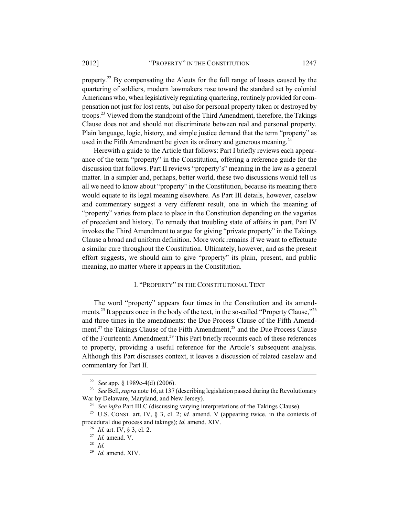property.22 By compensating the Aleuts for the full range of losses caused by the quartering of soldiers, modern lawmakers rose toward the standard set by colonial Americans who, when legislatively regulating quartering, routinely provided for compensation not just for lost rents, but also for personal property taken or destroyed by troops.23 Viewed from the standpoint of the Third Amendment, therefore, the Takings Clause does not and should not discriminate between real and personal property. Plain language, logic, history, and simple justice demand that the term "property" as used in the Fifth Amendment be given its ordinary and generous meaning.<sup>24</sup>

Herewith a guide to the Article that follows: Part I briefly reviews each appearance of the term "property" in the Constitution, offering a reference guide for the discussion that follows. Part II reviews "property's" meaning in the law as a general matter. In a simpler and, perhaps, better world, these two discussions would tell us all we need to know about "property" in the Constitution, because its meaning there would equate to its legal meaning elsewhere. As Part III details, however, caselaw and commentary suggest a very different result, one in which the meaning of "property" varies from place to place in the Constitution depending on the vagaries of precedent and history. To remedy that troubling state of affairs in part, Part IV invokes the Third Amendment to argue for giving "private property" in the Takings Clause a broad and uniform definition. More work remains if we want to effectuate a similar cure throughout the Constitution. Ultimately, however, and as the present effort suggests, we should aim to give "property" its plain, present, and public meaning, no matter where it appears in the Constitution.

# I. "PROPERTY" IN THE CONSTITUTIONAL TEXT

The word "property" appears four times in the Constitution and its amendments.<sup>25</sup> It appears once in the body of the text, in the so-called "Property Clause,"<sup>26</sup> and three times in the amendments: the Due Process Clause of the Fifth Amendment,<sup>27</sup> the Takings Clause of the Fifth Amendment,<sup>28</sup> and the Due Process Clause of the Fourteenth Amendment.<sup>29</sup> This Part briefly recounts each of these references to property, providing a useful reference for the Article's subsequent analysis. Although this Part discusses context, it leaves a discussion of related caselaw and commentary for Part II.

<sup>22</sup> *See* app. § 1989c-4(d) (2006).

<sup>&</sup>lt;sup>23</sup> *See* Bell, *supra* note 16, at 137 (describing legislation passed during the Revolutionary War by Delaware, Maryland, and New Jersey).

<sup>&</sup>lt;sup>24</sup> *See infra* Part III.C (discussing varying interpretations of the Takings Clause).

<sup>25</sup> U.S. CONST. art. IV, § 3, cl. 2; *id.* amend. V (appearing twice, in the contexts of procedural due process and takings); *id.* amend. XIV.

<sup>26</sup> *Id.* art. IV, § 3, cl. 2.

<sup>27</sup> *Id.* amend. V.

<sup>28</sup> *Id.*

<sup>29</sup> *Id.* amend. XIV.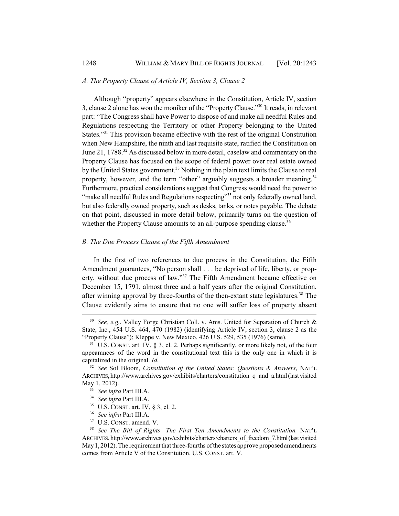#### *A. The Property Clause of Article IV, Section 3, Clause 2*

Although "property" appears elsewhere in the Constitution, Article IV, section 3, clause 2 alone has won the moniker of the "Property Clause."30 It reads, in relevant part: "The Congress shall have Power to dispose of and make all needful Rules and Regulations respecting the Territory or other Property belonging to the United States."<sup>31</sup> This provision became effective with the rest of the original Constitution when New Hampshire, the ninth and last requisite state, ratified the Constitution on June 21, 1788.<sup>32</sup> As discussed below in more detail, caselaw and commentary on the Property Clause has focused on the scope of federal power over real estate owned by the United States government.<sup>33</sup> Nothing in the plain text limits the Clause to real property, however, and the term "other" arguably suggests a broader meaning.<sup>34</sup> Furthermore, practical considerations suggest that Congress would need the power to "make all needful Rules and Regulations respecting"<sup>35</sup> not only federally owned land, but also federally owned property, such as desks, tanks, or notes payable. The debate on that point, discussed in more detail below, primarily turns on the question of whether the Property Clause amounts to an all-purpose spending clause.<sup>36</sup>

#### *B. The Due Process Clause of the Fifth Amendment*

In the first of two references to due process in the Constitution, the Fifth Amendment guarantees, "No person shall . . . be deprived of life, liberty, or property, without due process of law."<sup>37</sup> The Fifth Amendment became effective on December 15, 1791, almost three and a half years after the original Constitution, after winning approval by three-fourths of the then-extant state legislatures.<sup>38</sup> The Clause evidently aims to ensure that no one will suffer loss of property absent

<sup>30</sup> *See, e.g.*, Valley Forge Christian Coll. v. Ams. United for Separation of Church & State, Inc., 454 U.S. 464, 470 (1982) (identifying Article IV, section 3, clause 2 as the "Property Clause"); Kleppe v. New Mexico, 426 U.S. 529, 535 (1976) (same).

 $31$  U.S. CONST. art. IV, § 3, cl. 2. Perhaps significantly, or more likely not, of the four appearances of the word in the constitutional text this is the only one in which it is capitalized in the original. *Id.*

<sup>32</sup> *See* Sol Bloom, *Constitution of the United States: Questions & Answers*, NAT'L ARCHIVES, http://www.archives.gov/exhibits/charters/constitution\_q\_and\_a.html (last visited May 1, 2012).

<sup>33</sup> *See infra* Part III.A.

<sup>&</sup>lt;sup>35</sup> U.S. CONST. art. IV, § 3, cl. 2.

<sup>36</sup> *See infra* Part III.A.

<sup>37</sup> U.S. CONST. amend. V.

<sup>38</sup> *See The Bill of Rights—The First Ten Amendments to the Constitution,* NAT'L ARCHIVES, http://www.archives.gov/exhibits/charters/charters\_of\_freedom\_7.html (last visited May 1, 2012). The requirement that three-fourths of the states approve proposed amendments comes from Article V of the Constitution. U.S. CONST. art. V.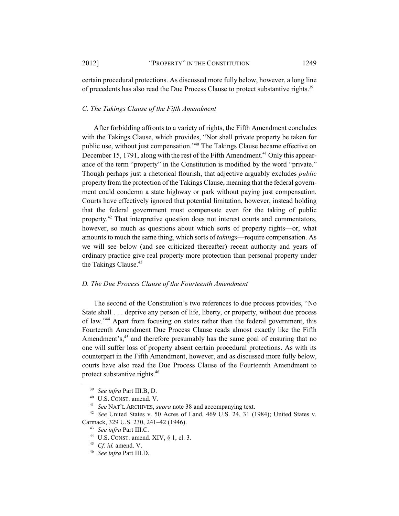certain procedural protections. As discussed more fully below, however, a long line of precedents has also read the Due Process Clause to protect substantive rights.<sup>39</sup>

#### *C. The Takings Clause of the Fifth Amendment*

After forbidding affronts to a variety of rights, the Fifth Amendment concludes with the Takings Clause, which provides, "Nor shall private property be taken for public use, without just compensation."40 The Takings Clause became effective on December 15, 1791, along with the rest of the Fifth Amendment.<sup>41</sup> Only this appearance of the term "property" in the Constitution is modified by the word "private." Though perhaps just a rhetorical flourish, that adjective arguably excludes *public* property from the protection of the Takings Clause, meaning that the federal government could condemn a state highway or park without paying just compensation. Courts have effectively ignored that potential limitation, however, instead holding that the federal government must compensate even for the taking of public property.<sup>42</sup> That interpretive question does not interest courts and commentators, however, so much as questions about which sorts of property rights—or, what amounts to much the same thing, which sorts of *takings*—require compensation. As we will see below (and see criticized thereafter) recent authority and years of ordinary practice give real property more protection than personal property under the Takings Clause.<sup>43</sup>

#### *D. The Due Process Clause of the Fourteenth Amendment*

The second of the Constitution's two references to due process provides, "No State shall . . . deprive any person of life, liberty, or property, without due process of law."44 Apart from focusing on states rather than the federal government, this Fourteenth Amendment Due Process Clause reads almost exactly like the Fifth Amendment's, $45$  and therefore presumably has the same goal of ensuring that no one will suffer loss of property absent certain procedural protections. As with its counterpart in the Fifth Amendment, however, and as discussed more fully below, courts have also read the Due Process Clause of the Fourteenth Amendment to protect substantive rights.46

<sup>39</sup> *See infra* Part III.B, D.

<sup>&</sup>lt;sup>40</sup> U.S. CONST. amend. V.<br><sup>41</sup> *See* NAT'L ARCHIVES, *supra* note 38 and accompanying text.

<sup>&</sup>lt;sup>42</sup> *See* United States v. 50 Acres of Land, 469 U.S. 24, 31 (1984); United States v. Carmack, 329 U.S. 230, 241–42 (1946).

<sup>43</sup> *See infra* Part III.C.

<sup>44</sup> U.S. CONST. amend. XIV, § 1, cl. 3.

<sup>45</sup> *Cf. id.* amend. V.

<sup>46</sup> *See infra* Part III.D.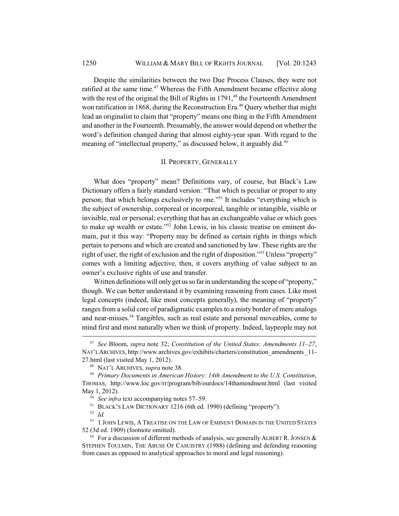Despite the similarities between the two Due Process Clauses, they were not ratified at the same time.<sup>47</sup> Whereas the Fifth Amendment became effective along with the rest of the original the Bill of Rights in  $1791<sup>48</sup>$  the Fourteenth Amendment won ratification in 1868, during the Reconstruction Era.<sup>49</sup> Query whether that might lead an originalist to claim that "property" means one thing in the Fifth Amendment and another in the Fourteenth. Presumably, the answer would depend on whether the word's definition changed during that almost eighty-year span. With regard to the meaning of "intellectual property," as discussed below, it arguably did.<sup>50</sup>

#### II. PROPERTY, GENERALLY

What does "property" mean? Definitions vary, of course, but Black's Law Dictionary offers a fairly standard version: "That which is peculiar or proper to any person; that which belongs exclusively to one."51 It includes "everything which is the subject of ownership, corporeal or incorporeal, tangible or intangible, visible or invisible, real or personal; everything that has an exchangeable value or which goes to make up wealth or estate."52 John Lewis, in his classic treatise on eminent domain, put it this way: "Property may be defined as certain rights in things which pertain to persons and which are created and sanctioned by law. These rights are the right of user, the right of exclusion and the right of disposition."53 Unless "property" comes with a limiting adjective, then, it covers anything of value subject to an owner's exclusive rights of use and transfer.

Written definitions will only get us so far in understanding the scope of "property," though. We can better understand it by examining reasoning from cases. Like most legal concepts (indeed, like most concepts generally), the meaning of "property" ranges from a solid core of paradigmatic examples to a misty border of mere analogs and near-misses.<sup>54</sup> Tangibles, such as real estate and personal moveables, come to mind first and most naturally when we think of property. Indeed, laypeople may not

<sup>47</sup> *See* Bloom, *supra* note 32; *Constitution of the United States: Amendments 11–27*, NAT'L ARCHIVES, http://www.archives.gov/exhibits/charters/constitution\_amendments \_11- 27.html (last visited May 1, 2012).

<sup>48</sup> NAT'L ARCHIVES, *supra* note 38.

<sup>49</sup> *Primary Documents in American History: 14th Amendment to the U.S. Constitution*, THOMAS, http://www.loc.gov/rr/program/bib/ourdocs/14thamendment.html (last visited May 1, 2012).

<sup>50</sup> *See infra* text accompanying notes 57–59.

 $<sup>51</sup>$  BLACK's LAW DICTIONARY 1216 (6th ed. 1990) (defining "property").</sup>

<sup>52</sup> *Id.*

<sup>&</sup>lt;sup>53</sup> 1 JOHN LEWIS, A TREATISE ON THE LAW OF EMINENT DOMAIN IN THE UNITED STATES 52 (3d ed. 1909) (footnote omitted).

 $54$  For a discussion of different methods of analysis, see generally ALBERT R. JONSEN & STEPHEN TOULMIN, THE ABUSE OF CASUISTRY (1988) (defining and defending reasoning from cases as opposed to analytical approaches to moral and legal reasoning).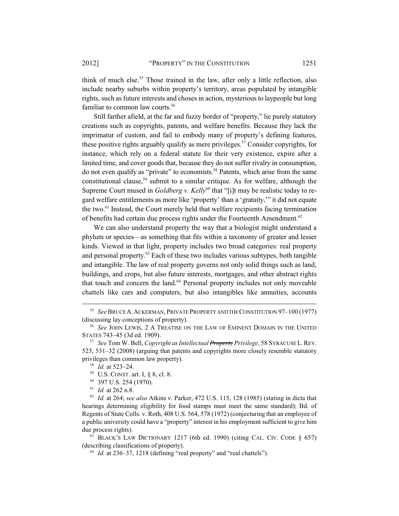think of much else.<sup>55</sup> Those trained in the law, after only a little reflection, also include nearby suburbs within property's territory, areas populated by intangible rights, such as future interests and choses in action, mysterious to laypeople but long familiar to common law courts.<sup>56</sup>

Still farther afield, at the far and fuzzy border of "property," lie purely statutory creations such as copyrights, patents, and welfare benefits. Because they lack the imprimatur of custom, and fail to embody many of property's defining features, these positive rights arguably qualify as mere privileges.<sup>57</sup> Consider copyrights, for instance, which rely on a federal statute for their very existence, expire after a limited time, and cover goods that, because they do not suffer rivalry in consumption, do not even qualify as "private" to economists.58 Patents, which arise from the same constitutional clause,<sup>59</sup> submit to a similar critique. As for welfare, although the Supreme Court mused in *Goldberg v. Kelly*<sup>60</sup> that "[i]t may be realistic today to regard welfare entitlements as more like 'property' than a 'gratuity,'" it did not equate the two.61 Instead, the Court merely held that welfare recipients facing termination of benefits had certain due process rights under the Fourteenth Amendment.<sup>62</sup>

We can also understand property the way that a biologist might understand a phylum or species—as something that fits within a taxonomy of greater and lesser kinds. Viewed in that light, property includes two broad categories: real property and personal property.63 Each of these two includes various subtypes, both tangible and intangible. The law of real property governs not only solid things such as land, buildings, and crops, but also future interests, mortgages, and other abstract rights that touch and concern the land.<sup>64</sup> Personal property includes not only moveable chattels like cars and computers, but also intangibles like annuities, accounts

 $63$  BLACK'S LAW DICTIONARY 1217 (6th ed. 1990) (citing CAL. CIV. CODE § 657) (describing classifications of property).

<sup>55</sup> *See* BRUCE A.ACKERMAN, PRIVATE PROPERTY AND THE CONSTITUTION 97–100 (1977) (discussing lay conceptions of property).

<sup>56</sup> *See* JOHN LEWIS, 2 A TREATISE ON THE LAW OF EMINENT DOMAIN IN THE UNITED STATES 743–45 (3d ed. 1909).

<sup>57</sup> *See* Tom W. Bell, *Copyright as Intellectual Property Privilege*, 58 SYRACUSE L.REV. 523, 531–32 (2008) (arguing that patents and copyrights more closely resemble statutory privileges than common law property).

<sup>58</sup> *Id.* at 523–24.

<sup>59</sup> U.S. CONST. art. I, § 8, cl. 8.

<sup>60</sup> 397 U.S. 254 (1970).

<sup>61</sup> *Id.* at 262 n.8.

<sup>62</sup> *Id.* at 264; *see also* Atkins v. Parker, 472 U.S. 115, 128 (1985) (stating in dicta that hearings determining eligibility for food stamps must meet the same standard); Bd. of Regents of State Colls. v. Roth, 408 U.S. 564, 578 (1972) (conjecturing that an employee of a public university could have a "property" interest in his employment sufficient to give him due process rights).

<sup>64</sup> *Id.* at 236–37, 1218 (defining "real property" and "real chattels").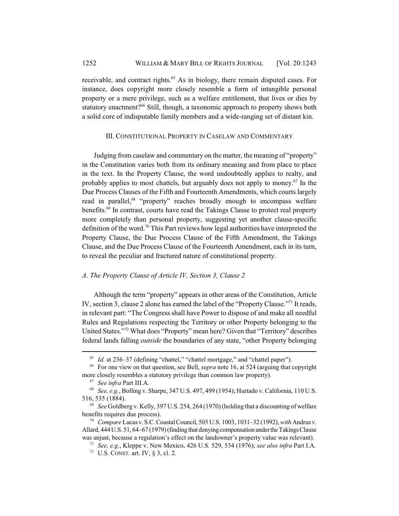receivable, and contract rights.<sup>65</sup> As in biology, there remain disputed cases. For instance, does copyright more closely resemble a form of intangible personal property or a mere privilege, such as a welfare entitlement, that lives or dies by statutory enactment?<sup>66</sup> Still, though, a taxonomic approach to property shows both a solid core of indisputable family members and a wide-ranging set of distant kin.

#### III. CONSTITUTIONAL PROPERTY IN CASELAW AND COMMENTARY

Judging from caselaw and commentary on the matter, the meaning of "property" in the Constitution varies both from its ordinary meaning and from place to place in the text. In the Property Clause, the word undoubtedly applies to realty, and probably applies to most chattels, but arguably does not apply to money.<sup>67</sup> In the Due Process Clauses of the Fifth and Fourteenth Amendments, which courts largely read in parallel,<sup>68</sup> "property" reaches broadly enough to encompass welfare benefits.<sup>69</sup> In contrast, courts have read the Takings Clause to protect real property more completely than personal property, suggesting yet another clause-specific definition of the word.70 This Part reviews how legal authorities have interpreted the Property Clause, the Due Process Clause of the Fifth Amendment, the Takings Clause, and the Due Process Clause of the Fourteenth Amendment, each in its turn, to reveal the peculiar and fractured nature of constitutional property.

#### *A. The Property Clause of Article IV, Section 3, Clause 2*

Although the term "property" appears in other areas of the Constitution, Article IV, section 3, clause 2 alone has earned the label of the "Property Clause."71 It reads, in relevant part: "The Congress shall have Power to dispose of and make all needful Rules and Regulations respecting the Territory or other Property belonging to the United States."72 What does "Property" mean here? Given that "Territory" describes federal lands falling *outside* the boundaries of any state, "other Property belonging

<sup>65</sup> *Id.* at 236–37 (defining "chattel," "chattel mortgage," and "chattel paper").

<sup>66</sup> For one view on that question, see Bell, *supra* note 16, at 524 (arguing that copyright more closely resembles a statutory privilege than common law property).

<sup>67</sup> *See infra* Part III.A.

<sup>68</sup> *See, e.g.*, Bolling v. Sharpe, 347 U.S. 497, 499 (1954); Hurtado v. California, 110 U.S. 516, 535 (1884).

<sup>69</sup> *See* Goldberg v. Kelly, 397 U.S. 254, 264 (1970) (holding that a discounting of welfare benefits requires due process).

<sup>70</sup> *Compare* Lucas v. S.C. Coastal Council, 505 U.S. 1003, 1031–32 (1992), *with* Andrus v. Allard, 444 U.S. 51, 64–67 (1979) (finding that denying compensation under the Takings Clause was unjust, because a regulation's effect on the landowner's property value was relevant).

<sup>71</sup> *See, e.g.*, Kleppe v. New Mexico, 426 U.S. 529, 534 (1976); *see also infra* Part I.A.

 $72$  U.S. CONST. art. IV, § 3, cl. 2.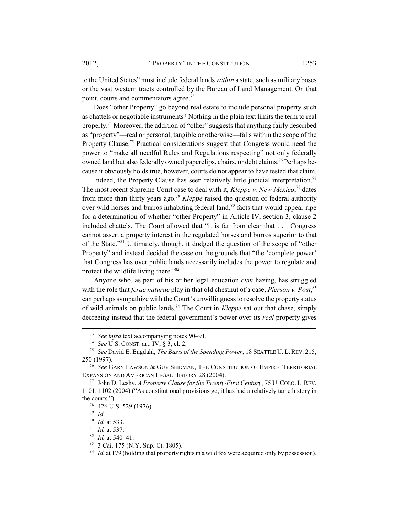to the United States" must include federal lands *within* a state, such as military bases or the vast western tracts controlled by the Bureau of Land Management. On that point, courts and commentators agree.<sup>73</sup>

Does "other Property" go beyond real estate to include personal property such as chattels or negotiable instruments? Nothing in the plain text limits the term to real property.74 Moreover, the addition of "other" suggests that anything fairly described as "property"—real or personal, tangible or otherwise—falls within the scope of the Property Clause.<sup>75</sup> Practical considerations suggest that Congress would need the power to "make all needful Rules and Regulations respecting" not only federally owned land but also federally owned paperclips, chairs, or debt claims.<sup>76</sup> Perhaps because it obviously holds true, however, courts do not appear to have tested that claim.

Indeed, the Property Clause has seen relatively little judicial interpretation.<sup>77</sup> The most recent Supreme Court case to deal with it, *Kleppe v. New Mexico*, 78 dates from more than thirty years ago.79 *Kleppe* raised the question of federal authority over wild horses and burros inhabiting federal land, $80$  facts that would appear ripe for a determination of whether "other Property" in Article IV, section 3, clause 2 included chattels. The Court allowed that "it is far from clear that . . . Congress cannot assert a property interest in the regulated horses and burros superior to that of the State."81 Ultimately, though, it dodged the question of the scope of "other Property" and instead decided the case on the grounds that "the 'complete power' that Congress has over public lands necessarily includes the power to regulate and protect the wildlife living there."<sup>82</sup>

Anyone who, as part of his or her legal education *cum* hazing, has struggled with the role that *ferae naturae* play in that old chestnut of a case, *Pierson v. Post*, 83 can perhaps sympathize with the Court's unwillingness to resolve the property status of wild animals on public lands.84 The Court in *Kleppe* sat out that chase, simply decreeing instead that the federal government's power over its *real* property gives

<sup>73</sup> *See infra* text accompanying notes 90–91.

<sup>74</sup> *See* U.S. CONST. art. IV, § 3, cl. 2.

<sup>75</sup> *See* David E. Engdahl, *The Basis of the Spending Power*, 18 SEATTLE U. L. REV. 215, 250 (1997).

<sup>76</sup> *See* GARY LAWSON & GUY SEIDMAN, THE CONSTITUTION OF EMPIRE: TERRITORIAL EXPANSION AND AMERICAN LEGAL HISTORY 28 (2004).

<sup>77</sup> John D. Leshy, *A Property Clause for the Twenty-First Century*, 75 U.COLO. L.REV. 1101, 1102 (2004) ("As constitutional provisions go, it has had a relatively tame history in the courts.").

<sup>78</sup> 426 U.S. 529 (1976).

<sup>79</sup> *Id.*

<sup>80</sup> *Id.* at 533.

<sup>81</sup> *Id.* at 537.

<sup>82</sup> *Id.* at 540–41.

<sup>83</sup> 3 Cai. 175 (N.Y. Sup. Ct. 1805).

<sup>&</sup>lt;sup>84</sup> *Id.* at 179 (holding that property rights in a wild fox were acquired only by possession).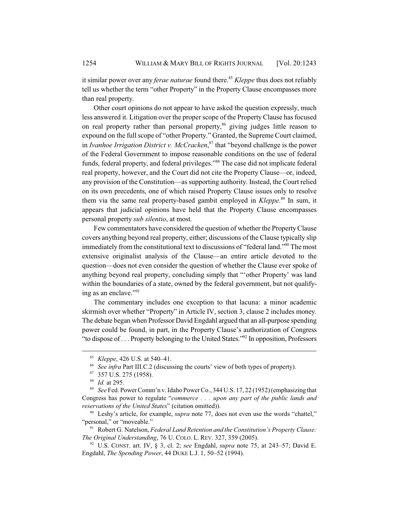it similar power over any *ferae naturae* found there.<sup>85</sup> *Kleppe* thus does not reliably tell us whether the term "other Property" in the Property Clause encompasses more than real property.

Other court opinions do not appear to have asked the question expressly, much less answered it. Litigation over the proper scope of the Property Clause has focused on real property rather than personal property,  $86$  giving judges little reason to expound on the full scope of "other Property." Granted, the Supreme Court claimed, in *Ivanhoe Irrigation District v. McCracken*, 87 that "beyond challenge is the power of the Federal Government to impose reasonable conditions on the use of federal funds, federal property, and federal privileges."<sup>88</sup> The case did not implicate federal real property, however, and the Court did not cite the Property Clause—or, indeed, any provision of the Constitution—as supporting authority. Instead, the Court relied on its own precedents, one of which raised Property Clause issues only to resolve them via the same real property-based gambit employed in *Kleppe*. 89 In sum, it appears that judicial opinions have held that the Property Clause encompasses personal property *sub silentio*, at most.

Few commentators have considered the question of whether the Property Clause covers anything beyond real property, either; discussions of the Clause typically slip immediately from the constitutional text to discussions of "federal land."90 The most extensive originalist analysis of the Clause—an entire article devoted to the question—does not even consider the question of whether the Clause ever spoke of anything beyond real property, concluding simply that "'other Property' was land within the boundaries of a state, owned by the federal government, but not qualifying as an enclave."91

The commentary includes one exception to that lacuna: a minor academic skirmish over whether "Property" in Article IV, section 3, clause 2 includes money. The debate began when Professor David Engdahl argued that an all-purpose spending power could be found, in part, in the Property Clause's authorization of Congress "to dispose of . . . Property belonging to the United States."92 In opposition, Professors

<sup>85</sup> *Kleppe*, 426 U.S. at 540–41.

<sup>86</sup> *See infra* Part III.C.2 (discussing the courts' view of both types of property).

<sup>87</sup> 357 U.S. 275 (1958).

<sup>88</sup> *Id.* at 295.

<sup>89</sup> *See* Fed. Power Comm'n v. Idaho Power Co., 344 U.S. 17, 22 (1952) (emphasizing that Congress has power to regulate "*commerce . . . upon any part of the public lands and reservations of the United States*" (citation omitted)).

<sup>90</sup> Leshy's article, for example, *supra* note 77, does not even use the words "chattel," "personal," or "moveable."

<sup>91</sup> Robert G. Natelson, *Federal Land Retention and the Constitution's Property Clause: The Original Understanding*, 76 U. COLO. L. REV. 327, 359 (2005).

<sup>92</sup> U.S. CONST. art. IV, § 3, cl. 2; *see* Engdahl, *supra* note 75, at 243–57; David E. Engdahl, *The Spending Power*, 44 DUKE L.J. 1, 50–52 (1994).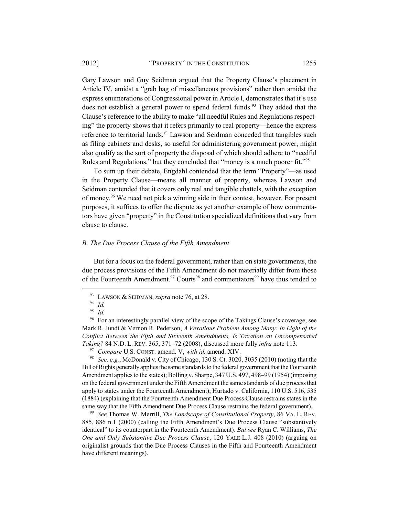Gary Lawson and Guy Seidman argued that the Property Clause's placement in Article IV, amidst a "grab bag of miscellaneous provisions" rather than amidst the express enumerations of Congressional power in Article I, demonstrates that it's use does not establish a general power to spend federal funds.<sup>93</sup> They added that the Clause's reference to the ability to make "all needful Rules and Regulations respecting" the property shows that it refers primarily to real property—hence the express reference to territorial lands.<sup>94</sup> Lawson and Seidman conceded that tangibles such as filing cabinets and desks, so useful for administering government power, might also qualify as the sort of property the disposal of which should adhere to "needful Rules and Regulations," but they concluded that "money is a much poorer fit."<sup>95</sup>

To sum up their debate, Engdahl contended that the term "Property"—as used in the Property Clause—means all manner of property, whereas Lawson and Seidman contended that it covers only real and tangible chattels, with the exception of money.96 We need not pick a winning side in their contest, however. For present purposes, it suffices to offer the dispute as yet another example of how commentators have given "property" in the Constitution specialized definitions that vary from clause to clause.

#### *B. The Due Process Clause of the Fifth Amendment*

But for a focus on the federal government, rather than on state governments, the due process provisions of the Fifth Amendment do not materially differ from those of the Fourteenth Amendment.<sup>97</sup> Courts<sup>98</sup> and commentators<sup>99</sup> have thus tended to

<sup>98</sup> *See, e.g.*, McDonald v. City of Chicago, 130 S. Ct. 3020, 3035 (2010) (noting that the Bill of Rights generally applies the same standards to the federal government that the Fourteenth Amendment applies to the states); Bolling v. Sharpe, 347 U.S. 497, 498–99 (1954) (imposing on the federal government under the Fifth Amendment the same standards of due process that apply to states under the Fourteenth Amendment); Hurtado v. California, 110 U.S. 516, 535 (1884) (explaining that the Fourteenth Amendment Due Process Clause restrains states in the same way that the Fifth Amendment Due Process Clause restrains the federal government).

<sup>99</sup> *See* Thomas W. Merrill, *The Landscape of Constitutional Property*, 86 VA. L. REV. 885, 886 n.1 (2000) (calling the Fifth Amendment's Due Process Clause "substantively identical" to its counterpart in the Fourteenth Amendment). *But see* Ryan C. Williams, *The One and Only Substantive Due Process Clause*, 120 YALE L.J. 408 (2010) (arguing on originalist grounds that the Due Process Clauses in the Fifth and Fourteenth Amendment have different meanings).

<sup>93</sup> LAWSON & SEIDMAN, *supra* note 76, at 28.

<sup>94</sup> *Id.*

<sup>95</sup> *Id.*

<sup>&</sup>lt;sup>96</sup> For an interestingly parallel view of the scope of the Takings Clause's coverage, see Mark R. Jundt & Vernon R. Pederson, *A Vexatious Problem Among Many: In Light of the Conflict Between the Fifth and Sixteenth Amendments, Is Taxation an Uncompensated Taking?* 84 N.D. L. REV. 365, 371–72 (2008), discussed more fully *infra* note 113.

<sup>97</sup> *Compare* U.S. CONST. amend. V, *with id.* amend. XIV.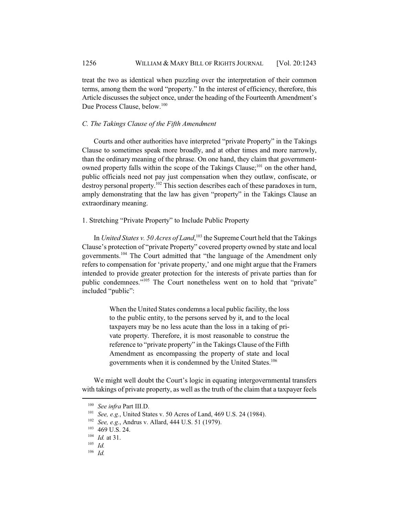treat the two as identical when puzzling over the interpretation of their common terms, among them the word "property." In the interest of efficiency, therefore, this Article discusses the subject once, under the heading of the Fourteenth Amendment's Due Process Clause, below.<sup>100</sup>

#### *C. The Takings Clause of the Fifth Amendment*

Courts and other authorities have interpreted "private Property" in the Takings Clause to sometimes speak more broadly, and at other times and more narrowly, than the ordinary meaning of the phrase. On one hand, they claim that governmentowned property falls within the scope of the Takings Clause;<sup>101</sup> on the other hand, public officials need not pay just compensation when they outlaw, confiscate, or destroy personal property.<sup>102</sup> This section describes each of these paradoxes in turn, amply demonstrating that the law has given "property" in the Takings Clause an extraordinary meaning.

#### 1. Stretching "Private Property" to Include Public Property

In *United States v. 50 Acres of Land*, 103 the Supreme Court held that the Takings Clause's protection of "private Property" covered property owned by state and local governments.104 The Court admitted that "the language of the Amendment only refers to compensation for 'private property,' and one might argue that the Framers intended to provide greater protection for the interests of private parties than for public condemnees."105 The Court nonetheless went on to hold that "private" included "public":

> When the United States condemns a local public facility, the loss to the public entity, to the persons served by it, and to the local taxpayers may be no less acute than the loss in a taking of private property. Therefore, it is most reasonable to construe the reference to "private property" in the Takings Clause of the Fifth Amendment as encompassing the property of state and local governments when it is condemned by the United States.<sup>106</sup>

We might well doubt the Court's logic in equating intergovernmental transfers with takings of private property, as well as the truth of the claim that a taxpayer feels

<sup>100</sup> *See infra* Part III.D.

<sup>101</sup> *See, e.g.*, United States v. 50 Acres of Land, 469 U.S. 24 (1984).

<sup>102</sup> *See, e.g.*, Andrus v. Allard, 444 U.S. 51 (1979).

<sup>103</sup> 469 U.S. 24.

 $\frac{104}{105}$  *Id.* at 31.

*Id.* 

<sup>106</sup> *Id.*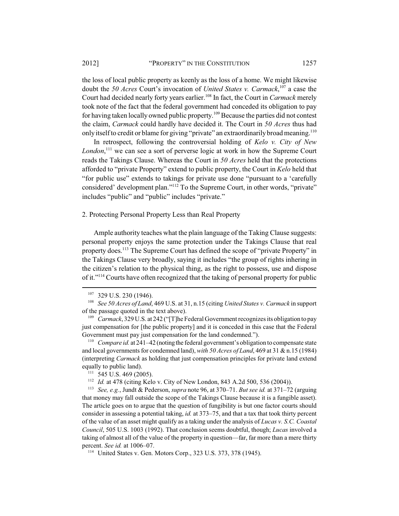the loss of local public property as keenly as the loss of a home. We might likewise doubt the *50 Acres* Court's invocation of *United States v. Carmack*, 107 a case the Court had decided nearly forty years earlier.<sup>108</sup> In fact, the Court in *Carmack* merely took note of the fact that the federal government had conceded its obligation to pay for having taken locally owned public property.109 Because the parties did not contest the claim, *Carmack* could hardly have decided it. The Court in *50 Acres* thus had only itself to credit or blame for giving "private" an extraordinarily broad meaning.<sup>110</sup>

In retrospect, following the controversial holding of *Kelo v. City of New* London,<sup>111</sup> we can see a sort of perverse logic at work in how the Supreme Court reads the Takings Clause. Whereas the Court in *50 Acres* held that the protections afforded to "private Property" extend to public property, the Court in *Kelo* held that "for public use" extends to takings for private use done "pursuant to a 'carefully considered' development plan."112 To the Supreme Court, in other words, "private" includes "public" and "public" includes "private."

#### 2. Protecting Personal Property Less than Real Property

Ample authority teaches what the plain language of the Taking Clause suggests: personal property enjoys the same protection under the Takings Clause that real property does.113 The Supreme Court has defined the scope of "private Property" in the Takings Clause very broadly, saying it includes "the group of rights inhering in the citizen's relation to the physical thing, as the right to possess, use and dispose of it."114 Courts have often recognized that the taking of personal property for public

<sup>110</sup> *Compare id.* at 241–42 (noting the federal government's obligation to compensate state and local governments for condemned land), *with 50 Acres of Land*, 469 at 31 & n.15 (1984) (interpreting *Carmack* as holding that just compensation principles for private land extend equally to public land).

<sup>113</sup> *See, e.g.*, Jundt & Pederson, *supra* note 96, at 370–71. *But see id.* at 371–72 (arguing that money may fall outside the scope of the Takings Clause because it is a fungible asset). The article goes on to argue that the question of fungibility is but one factor courts should consider in assessing a potential taking, *id.* at 373–75, and that a tax that took thirty percent of the value of an asset might qualify as a taking under the analysis of *Lucas v. S.C. Coastal Council*, 505 U.S. 1003 (1992). That conclusion seems doubtful, though; *Lucas* involved a taking of almost all of the value of the property in question—far, far more than a mere thirty percent. *See id.* at 1006–07.

<sup>107</sup> 329 U.S. 230 (1946).

<sup>108</sup> *See 50 Acres of Land*, 469 U.S. at 31, n.15 (citing *United States v. Carmack* in support of the passage quoted in the text above).

<sup>109</sup> *Carmack*, 329 U.S. at 242 ("[T]he Federal Government recognizes its obligation to pay just compensation for [the public property] and it is conceded in this case that the Federal Government must pay just compensation for the land condemned.").

 $111$  545 U.S. 469 (2005).

<sup>112</sup> *Id.* at 478 (citing Kelo v. City of New London, 843 A.2d 500, 536 (2004)).

<sup>114</sup> United States v. Gen. Motors Corp., 323 U.S. 373, 378 (1945).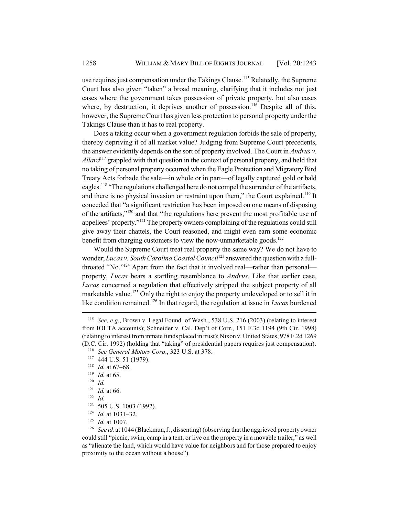use requires just compensation under the Takings Clause.<sup>115</sup> Relatedly, the Supreme Court has also given "taken" a broad meaning, clarifying that it includes not just cases where the government takes possession of private property, but also cases where, by destruction, it deprives another of possession.<sup>116</sup> Despite all of this, however, the Supreme Court has given less protection to personal property under the Takings Clause than it has to real property.

Does a taking occur when a government regulation forbids the sale of property, thereby depriving it of all market value? Judging from Supreme Court precedents, the answer evidently depends on the sort of property involved. The Court in *Andrus v. Allard*<sup>117</sup> grappled with that question in the context of personal property, and held that no taking of personal property occurred when the Eagle Protection and Migratory Bird Treaty Acts forbade the sale—in whole or in part—of legally captured gold or bald eagles.<sup>118</sup> "The regulations challenged here do not compel the surrender of the artifacts, and there is no physical invasion or restraint upon them," the Court explained.<sup>119</sup> It conceded that "a significant restriction has been imposed on one means of disposing of the artifacts,"120 and that "the regulations here prevent the most profitable use of appellees' property."<sup>121</sup> The property owners complaining of the regulations could still give away their chattels, the Court reasoned, and might even earn some economic benefit from charging customers to view the now-unmarketable goods.<sup>122</sup>

Would the Supreme Court treat real property the same way? We do not have to wonder; *Lucas v. South Carolina Coastal Council*<sup>123</sup> answered the question with a fullthroated "No."124 Apart from the fact that it involved real—rather than personal property, *Lucas* bears a startling resemblance to *Andrus*. Like that earlier case, *Lucas* concerned a regulation that effectively stripped the subject property of all marketable value.<sup>125</sup> Only the right to enjoy the property undeveloped or to sell it in like condition remained.126 In that regard, the regulation at issue in *Lucas* burdened

<sup>115</sup> *See, e.g.*, Brown v. Legal Found. of Wash., 538 U.S. 216 (2003) (relating to interest from IOLTA accounts); Schneider v. Cal. Dep't of Corr., 151 F.3d 1194 (9th Cir. 1998) (relating to interest from inmate funds placed in trust); Nixon v. United States, 978 F.2d 1269 (D.C. Cir. 1992) (holding that "taking" of presidential papers requires just compensation).

<sup>116</sup> *See General Motors Corp*., 323 U.S. at 378.

<sup>117</sup> 444 U.S. 51 (1979).

<sup>118</sup> *Id.* at 67–68.

<sup>119</sup> *Id.* at 65.

<sup>120</sup> *Id.*

<sup>121</sup> *Id.* at 66.

<sup>122</sup> *Id.*

<sup>123</sup> 505 U.S. 1003 (1992).

<sup>124</sup> *Id.* at 1031–32.

<sup>125</sup> *Id.* at 1007.

<sup>&</sup>lt;sup>126</sup> *See id.* at 1044 (Blackmun, J., dissenting) (observing that the aggrieved property owner could still "picnic, swim, camp in a tent, or live on the property in a movable trailer," as well as "alienate the land, which would have value for neighbors and for those prepared to enjoy proximity to the ocean without a house").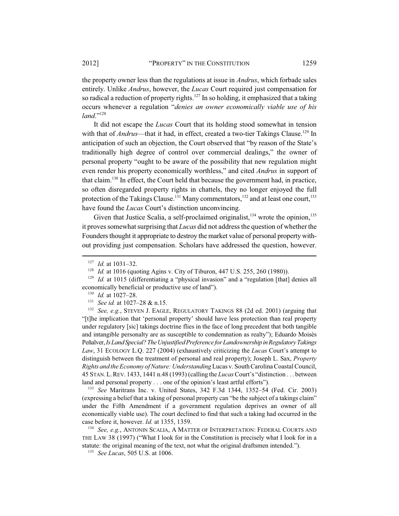the property owner less than the regulations at issue in *Andrus*, which forbade sales entirely. Unlike *Andrus*, however, the *Lucas* Court required just compensation for so radical a reduction of property rights.<sup>127</sup> In so holding, it emphasized that a taking occurs whenever a regulation "*denies an owner economically viable use of his land*."<sup>128</sup>

It did not escape the *Lucas* Court that its holding stood somewhat in tension with that of *Andrus*—that it had, in effect, created a two-tier Takings Clause.<sup>129</sup> In anticipation of such an objection, the Court observed that "by reason of the State's traditionally high degree of control over commercial dealings," the owner of personal property "ought to be aware of the possibility that new regulation might even render his property economically worthless," and cited *Andrus* in support of that claim.130 In effect, the Court held that because the government had, in practice, so often disregarded property rights in chattels, they no longer enjoyed the full protection of the Takings Clause.<sup>131</sup> Many commentators,<sup>132</sup> and at least one court,<sup>133</sup> have found the *Lucas* Court's distinction unconvincing.

Given that Justice Scalia, a self-proclaimed originalist,  $134$  wrote the opinion,  $135$ it proves somewhat surprising that *Lucas* did not address the question of whether the Founders thought it appropriate to destroy the market value of personal property without providing just compensation. Scholars have addressed the question, however.

<sup>132</sup> *See, e.g.*, STEVEN J. EAGLE, REGULATORY TAKINGS 88 (2d ed. 2001) (arguing that "[t]he implication that 'personal property' should have less protection than real property under regulatory [sic] takings doctrine flies in the face of long precedent that both tangible and intangible personalty are as susceptible to condemnation as realty"); Eduardo Moisès Peñalver, *Is Land Special?The Unjustified Preference for Landownership in Regulatory Takings Law*, 31 ECOLOGY L.Q. 227 (2004) (exhaustively criticizing the *Lucas* Court's attempt to distinguish between the treatment of personal and real property); Joseph L. Sax, *Property Rights and the Economy of Nature: Understanding* Lucas v. South Carolina Coastal Council, 45 STAN.L.REV. 1433, 1441 n.48 (1993) (calling the *Lucas* Court's "distinction . . . between land and personal property . . . one of the opinion's least artful efforts").

<sup>133</sup> *See* Maritrans Inc. v. United States, 342 F.3d 1344, 1352–54 (Fed. Cir. 2003) (expressing a belief that a taking of personal property can "be the subject of a takings claim" under the Fifth Amendment if a government regulation deprives an owner of all economically viable use). The court declined to find that such a taking had occurred in the case before it, however. *Id.* at 1355, 1359.

<sup>134</sup> *See, e.g.*, ANTONIN SCALIA, A MATTER OF INTERPRETATION: FEDERAL COURTS AND THE LAW 38 (1997) ("What I look for in the Constitution is precisely what I look for in a statute: the original meaning of the text, not what the original draftsmen intended.").

<sup>135</sup> *See Lucas*, 505 U.S. at 1006.

<sup>127</sup> *Id.* at 1031–32.

<sup>128</sup> *Id.* at 1016 (quoting Agins v. City of Tiburon, 447 U.S. 255, 260 (1980)).

<sup>&</sup>lt;sup>129</sup> *Id.* at 1015 (differentiating a "physical invasion" and a "regulation [that] denies all economically beneficial or productive use of land").

<sup>130</sup> *Id.* at 1027–28.

<sup>131</sup> *See id.* at 1027–28 & n.15.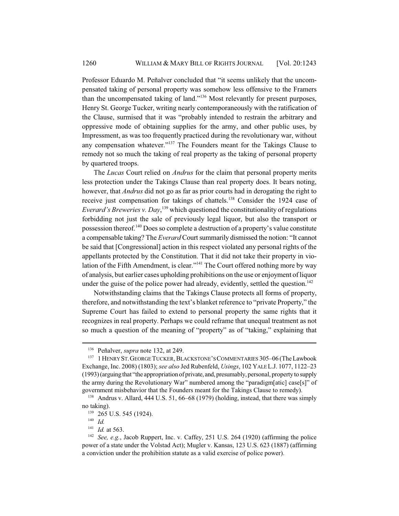Professor Eduardo M. Peñalver concluded that "it seems unlikely that the uncompensated taking of personal property was somehow less offensive to the Framers than the uncompensated taking of land."<sup>136</sup> Most relevantly for present purposes, Henry St. George Tucker, writing nearly contemporaneously with the ratification of the Clause, surmised that it was "probably intended to restrain the arbitrary and oppressive mode of obtaining supplies for the army, and other public uses, by Impressment, as was too frequently practiced during the revolutionary war, without any compensation whatever."137 The Founders meant for the Takings Clause to remedy not so much the taking of real property as the taking of personal property by quartered troops.

The *Lucas* Court relied on *Andrus* for the claim that personal property merits less protection under the Takings Clause than real property does. It bears noting, however, that *Andrus* did not go as far as prior courts had in derogating the right to receive just compensation for takings of chattels.<sup>138</sup> Consider the 1924 case of *Everard's Breweries v. Day*, 139 which questioned the constitutionality of regulations forbidding not just the sale of previously legal liquor, but also the transport or possession thereof.<sup>140</sup> Does so complete a destruction of a property's value constitute a compensable taking? The *Everard* Court summarily dismissed the notion: "It cannot be said that [Congressional] action in this respect violated any personal rights of the appellants protected by the Constitution. That it did not take their property in violation of the Fifth Amendment, is clear."<sup>141</sup> The Court offered nothing more by way of analysis, but earlier cases upholding prohibitions on the use or enjoyment of liquor under the guise of the police power had already, evidently, settled the question.<sup>142</sup>

Notwithstanding claims that the Takings Clause protects all forms of property, therefore, and notwithstanding the text's blanket reference to "private Property," the Supreme Court has failed to extend to personal property the same rights that it recognizes in real property. Perhaps we could reframe that unequal treatment as not so much a question of the meaning of "property" as of "taking," explaining that

<sup>136</sup> Peñalver, *supra* note 132, at 249.

<sup>&</sup>lt;sup>137</sup> 1 HENRY ST. GEORGE TUCKER, BLACKSTONE'S COMMENTARIES 305-06 (The Lawbook Exchange, Inc. 2008) (1803); *see also* Jed Rubenfeld, *Usings*, 102 YALE L.J. 1077, 1122–23 (1993) (arguing that "the appropriation of private, and, presumably, personal, property to supply the army during the Revolutionary War" numbered among the "paradigm[atic] case[s]" of government misbehavior that the Founders meant for the Takings Clause to remedy).

<sup>138</sup> Andrus v. Allard, 444 U.S. 51, 66–68 (1979) (holding, instead, that there was simply no taking).

<sup>&</sup>lt;sup>139</sup> 265 U.S. 545 (1924).

 $\frac{140}{141}$  *Id.* 

<sup>&</sup>lt;sup>141</sup> *Id.* at 563.

See, e.g., Jacob Ruppert, Inc. v. Caffey, 251 U.S. 264 (1920) (affirming the police power of a state under the Volstad Act); Mugler v. Kansas, 123 U.S. 623 (1887) (affirming a conviction under the prohibition statute as a valid exercise of police power).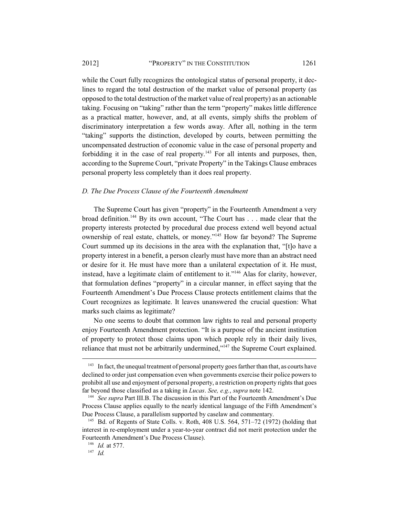#### 2012] "PROPERTY" IN THE CONSTITUTION 1261

while the Court fully recognizes the ontological status of personal property, it declines to regard the total destruction of the market value of personal property (as opposed to the total destruction of the market value of real property) as an actionable taking. Focusing on "taking" rather than the term "property" makes little difference as a practical matter, however, and, at all events, simply shifts the problem of discriminatory interpretation a few words away. After all, nothing in the term "taking" supports the distinction, developed by courts, between permitting the uncompensated destruction of economic value in the case of personal property and forbidding it in the case of real property. $143$  For all intents and purposes, then, according to the Supreme Court, "private Property" in the Takings Clause embraces personal property less completely than it does real property.

#### *D. The Due Process Clause of the Fourteenth Amendment*

The Supreme Court has given "property" in the Fourteenth Amendment a very broad definition.144 By its own account, "The Court has . . . made clear that the property interests protected by procedural due process extend well beyond actual ownership of real estate, chattels, or money."145 How far beyond? The Supreme Court summed up its decisions in the area with the explanation that, "[t]o have a property interest in a benefit, a person clearly must have more than an abstract need or desire for it. He must have more than a unilateral expectation of it. He must, instead, have a legitimate claim of entitlement to it."<sup>146</sup> Alas for clarity, however, that formulation defines "property" in a circular manner, in effect saying that the Fourteenth Amendment's Due Process Clause protects entitlement claims that the Court recognizes as legitimate. It leaves unanswered the crucial question: What marks such claims as legitimate?

No one seems to doubt that common law rights to real and personal property enjoy Fourteenth Amendment protection. "It is a purpose of the ancient institution of property to protect those claims upon which people rely in their daily lives, reliance that must not be arbitrarily undermined,"147 the Supreme Court explained.

<sup>&</sup>lt;sup>143</sup> In fact, the unequal treatment of personal property goes farther than that, as courts have declined to order just compensation even when governments exercise their police powers to prohibit all use and enjoyment of personal property, a restriction on property rights that goes far beyond those classified as a taking in *Lucas*. *See, e.g.*, *supra* note 142.

<sup>&</sup>lt;sup>144</sup> *See supra* Part III.B. The discussion in this Part of the Fourteenth Amendment's Due Process Clause applies equally to the nearly identical language of the Fifth Amendment's Due Process Clause, a parallelism supported by caselaw and commentary.

<sup>&</sup>lt;sup>145</sup> Bd. of Regents of State Colls. v. Roth, 408 U.S. 564, 571–72 (1972) (holding that interest in re-employment under a year-to-year contract did not merit protection under the Fourteenth Amendment's Due Process Clause).

<sup>146</sup> *Id.* at 577.

<sup>147</sup> *Id.*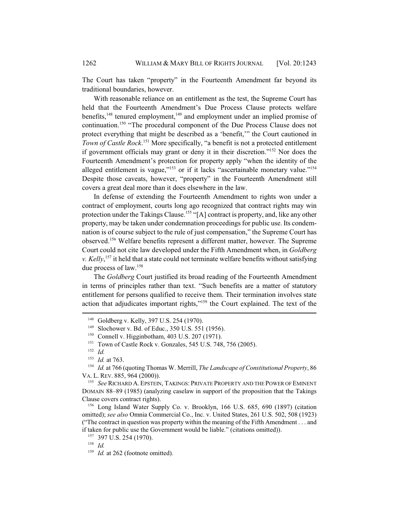The Court has taken "property" in the Fourteenth Amendment far beyond its traditional boundaries, however.

With reasonable reliance on an entitlement as the test, the Supreme Court has held that the Fourteenth Amendment's Due Process Clause protects welfare benefits,<sup>148</sup> tenured employment,<sup>149</sup> and employment under an implied promise of continuation.150 "The procedural component of the Due Process Clause does not protect everything that might be described as a 'benefit,'" the Court cautioned in *Town of Castle Rock*. 151 More specifically, "a benefit is not a protected entitlement if government officials may grant or deny it in their discretion."152 Nor does the Fourteenth Amendment's protection for property apply "when the identity of the alleged entitlement is vague," $153$  or if it lacks "ascertainable monetary value." $154$ Despite those caveats, however, "property" in the Fourteenth Amendment still covers a great deal more than it does elsewhere in the law.

In defense of extending the Fourteenth Amendment to rights won under a contract of employment, courts long ago recognized that contract rights may win protection under the Takings Clause.<sup>155</sup> "[A] contract is property, and, like any other property, may be taken under condemnation proceedings for public use. Its condemnation is of course subject to the rule of just compensation," the Supreme Court has observed.156 Welfare benefits represent a different matter, however. The Supreme Court could not cite law developed under the Fifth Amendment when, in *Goldberg v. Kelly*, 157 it held that a state could not terminate welfare benefits without satisfying due process of law.158

The *Goldberg* Court justified its broad reading of the Fourteenth Amendment in terms of principles rather than text. "Such benefits are a matter of statutory entitlement for persons qualified to receive them. Their termination involves state action that adjudicates important rights,"159 the Court explained. The text of the

<sup>148</sup> Goldberg v. Kelly, 397 U.S. 254 (1970).

<sup>149</sup> Slochower v. Bd. of Educ., 350 U.S. 551 (1956).

<sup>&</sup>lt;sup>150</sup> Connell v. Higginbotham, 403 U.S. 207 (1971).

<sup>&</sup>lt;sup>151</sup> Town of Castle Rock v. Gonzales, 545 U.S. 748, 756 (2005).

<sup>152</sup> *Id.*

<sup>153</sup> *Id.* at 763.

<sup>154</sup> *Id.* at 766 (quoting Thomas W. Merrill, *The Landscape of Constitutional Property*, 86 VA. L. REV. 885, 964 (2000)).

<sup>155</sup> *See* RICHARD A. EPSTEIN, TAKINGS: PRIVATE PROPERTY AND THE POWER OF EMINENT DOMAIN 88–89 (1985) (analyzing caselaw in support of the proposition that the Takings Clause covers contract rights).

<sup>156</sup> Long Island Water Supply Co. v. Brooklyn, 166 U.S. 685, 690 (1897) (citation omitted); *see also* Omnia Commercial Co., Inc. v. United States, 261 U.S. 502, 508 (1923) ("The contract in question was property within the meaning of the Fifth Amendment . . . and if taken for public use the Government would be liable." (citations omitted)).

<sup>157</sup> 397 U.S. 254 (1970).

<sup>158</sup> *Id.*

<sup>&</sup>lt;sup>159</sup> *Id.* at 262 (footnote omitted).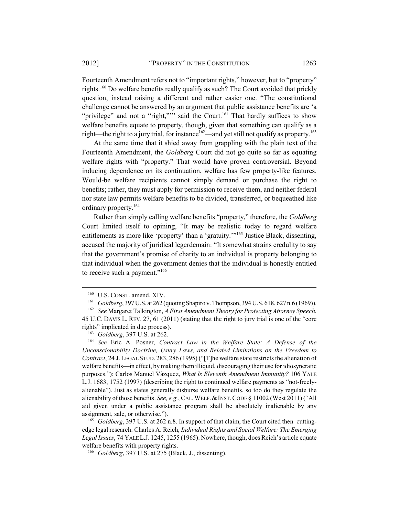Fourteenth Amendment refers not to "important rights," however, but to "property" rights.160 Do welfare benefits really qualify as such? The Court avoided that prickly question, instead raising a different and rather easier one. "The constitutional challenge cannot be answered by an argument that public assistance benefits are 'a "privilege" and not a "right,""" said the Court.<sup>161</sup> That hardly suffices to show welfare benefits equate to property, though, given that something can qualify as a right—the right to a jury trial, for instance<sup>162</sup>—and yet still not qualify as property.<sup>163</sup>

At the same time that it shied away from grappling with the plain text of the Fourteenth Amendment, the *Goldberg* Court did not go quite so far as equating welfare rights with "property." That would have proven controversial. Beyond inducing dependence on its continuation, welfare has few property-like features. Would-be welfare recipients cannot simply demand or purchase the right to benefits; rather, they must apply for permission to receive them, and neither federal nor state law permits welfare benefits to be divided, transferred, or bequeathed like ordinary property.164

Rather than simply calling welfare benefits "property," therefore, the *Goldberg* Court limited itself to opining, "It may be realistic today to regard welfare entitlements as more like 'property' than a 'gratuity.'"<sup>165</sup> Justice Black, dissenting, accused the majority of juridical legerdemain: "It somewhat strains credulity to say that the government's promise of charity to an individual is property belonging to that individual when the government denies that the individual is honestly entitled to receive such a payment."<sup>166</sup>

 $^{160}$  U.S. CONST. amend. XIV.<br> $^{161}$  Goldberg 397 U.S. at 262 (

<sup>161</sup> *Goldberg*, 397 U.S. at 262 (quoting Shapiro v. Thompson, 394 U.S. 618, 627 n.6 (1969)).

<sup>162</sup> *See* Margaret Talkington, *A First Amendment Theory for Protecting Attorney Speech*, 45 U.C. DAVIS L. REV. 27, 61 (2011) (stating that the right to jury trial is one of the "core rights" implicated in due process).

<sup>163</sup> *Goldberg*, 397 U.S. at 262.

<sup>164</sup> *See* Eric A. Posner, *Contract Law in the Welfare State: A Defense of the Unconscionability Doctrine, Usury Laws, and Related Limitations on the Freedom to Contract*, 24 J. LEGAL STUD. 283, 286 (1995) ("[T]he welfare state restricts the alienation of welfare benefits—in effect, by making them illiquid, discouraging their use for idiosyncratic purposes."); Carlos Manuel Vàzquez, *What Is Eleventh Amendment Immunity?* 106 YALE L.J. 1683, 1752 (1997) (describing the right to continued welfare payments as "not-freelyalienable"). Just as states generally disburse welfare benefits, so too do they regulate the alienability of those benefits. *See, e.g.*, CAL.WELF.&INST.CODE § 11002 (West 2011) ("All aid given under a public assistance program shall be absolutely inalienable by any assignment, sale, or otherwise.").

<sup>165</sup> *Goldberg*, 397 U.S. at 262 n.8. In support of that claim, the Court cited then–cuttingedge legal research: Charles A. Reich, *Individual Rights and Social Welfare: The Emerging Legal Issues*, 74 YALE L.J. 1245, 1255 (1965). Nowhere, though, does Reich's article equate welfare benefits with property rights.

<sup>166</sup> *Goldberg*, 397 U.S. at 275 (Black, J., dissenting).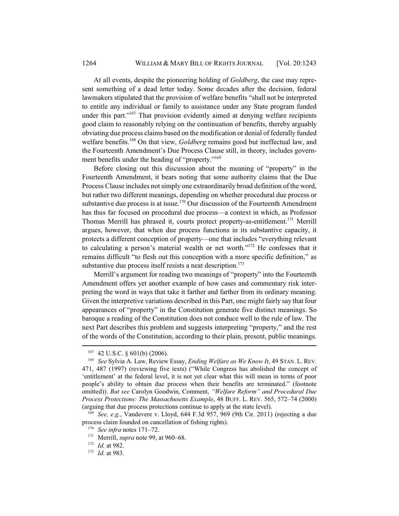At all events, despite the pioneering holding of *Goldberg*, the case may represent something of a dead letter today. Some decades after the decision, federal lawmakers stipulated that the provision of welfare benefits "shall not be interpreted to entitle any individual or family to assistance under any State program funded under this part."<sup>167</sup> That provision evidently aimed at denying welfare recipients good claim to reasonably relying on the continuation of benefits, thereby arguably obviating due process claims based on the modification or denial of federally funded welfare benefits.168 On that view, *Goldberg* remains good but ineffectual law, and the Fourteenth Amendment's Due Process Clause still, in theory, includes government benefits under the heading of "property."<sup>169</sup>

Before closing out this discussion about the meaning of "property" in the Fourteenth Amendment, it bears noting that some authority claims that the Due Process Clause includes not simply one extraordinarily broad definition of the word, but rather two different meanings, depending on whether procedural due process or substantive due process is at issue.<sup>170</sup> Our discussion of the Fourteenth Amendment has thus far focused on procedural due process—a context in which, as Professor Thomas Merrill has phrased it, courts protect property-as-entitlement.<sup>171</sup> Merrill argues, however, that when due process functions in its substantive capacity, it protects a different conception of property—one that includes "everything relevant to calculating a person's material wealth or net worth."172 He confesses that it remains difficult "to flesh out this conception with a more specific definition," as substantive due process itself resists a neat description.<sup>173</sup>

Merrill's argument for reading two meanings of "property" into the Fourteenth Amendment offers yet another example of how cases and commentary risk interpreting the word in ways that take it farther and farther from its ordinary meaning. Given the interpretive variations described in this Part, one might fairly say that four appearances of "property" in the Constitution generate five distinct meanings. So baroque a reading of the Constitution does not conduce well to the rule of law. The next Part describes this problem and suggests interpreting "property," and the rest of the words of the Constitution, according to their plain, present, public meanings.

 $167$  42 U.S.C. § 601(b) (2006).

<sup>168</sup> *See* Sylvia A. Law, Review Essay, *Ending Welfare as We Know It*, 49 STAN. L. REV. 471, 487 (1997) (reviewing five texts) ("While Congress has abolished the concept of 'entitlement' at the federal level, it is not yet clear what this will mean in terms of poor people's ability to obtain due process when their benefits are terminated." (footnote omitted)). *But see* Carolyn Goodwin, Comment, *"Welfare Reform" and Procedural Due Process Protections: The Massachusetts Example*, 48 BUFF. L. REV. 565, 572–74 (2000) (arguing that due process protections continue to apply at the state level).

<sup>169</sup> *See, e.g.*, Vandevere v. Lloyd, 644 F.3d 957, 969 (9th Cir. 2011) (rejecting a due process claim founded on cancellation of fishing rights).

<sup>170</sup> *See infra* notes 171–72.

<sup>171</sup> Merrill, *supra* note 99, at 960–68.

<sup>172</sup> *Id.* at 982.

<sup>173</sup> *Id.* at 983.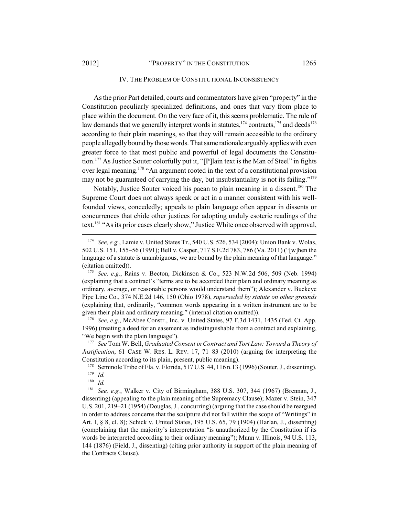### IV. THE PROBLEM OF CONSTITUTIONAL INCONSISTENCY

As the prior Part detailed, courts and commentators have given "property" in the Constitution peculiarly specialized definitions, and ones that vary from place to place within the document. On the very face of it, this seems problematic. The rule of law demands that we generally interpret words in statutes,  $174$  contracts,  $175$  and deeds  $176$ according to their plain meanings, so that they will remain accessible to the ordinary people allegedly bound by those words. That same rationale arguably applies with even greater force to that most public and powerful of legal documents the Constitution.177 As Justice Souter colorfully put it, "[P]lain text is the Man of Steel" in fights over legal meaning.<sup>178</sup> "An argument rooted in the text of a constitutional provision may not be guaranteed of carrying the day, but insubstantiality is not its failing."<sup>179</sup>

Notably, Justice Souter voiced his paean to plain meaning in a dissent.<sup>180</sup> The Supreme Court does not always speak or act in a manner consistent with his wellfounded views, concededly; appeals to plain language often appear in dissents or concurrences that chide other justices for adopting unduly esoteric readings of the text.181 "As its prior cases clearly show," Justice White once observed with approval,

<sup>176</sup> *See, e.g.*, McAbee Constr., Inc. v. United States, 97 F.3d 1431, 1435 (Fed. Ct. App. 1996) (treating a deed for an easement as indistinguishable from a contract and explaining, "We begin with the plain language").

<sup>177</sup> *See* Tom W. Bell, *Graduated Consent in Contract and Tort Law: Toward a Theory of Justification*, 61 CASE W. RES. L. REV. 17, 71–83 (2010) (arguing for interpreting the Constitution according to its plain, present, public meaning).

<sup>178</sup> Seminole Tribe of Fla. v. Florida, 517 U.S. 44, 116 n.13 (1996) (Souter, J., dissenting).  $\frac{179}{180}$  *Id.* 

 $\frac{180}{181}$  *Id.* 

See, e.g., Walker v. City of Birmingham, 388 U.S. 307, 344 (1967) (Brennan, J., dissenting) (appealing to the plain meaning of the Supremacy Clause); Mazer v. Stein, 347 U.S. 201, 219–21 (1954) (Douglas, J., concurring) (arguing that the case should be reargued in order to address concerns that the sculpture did not fall within the scope of "Writings" in Art. I, § 8, cl. 8); Schick v. United States, 195 U.S. 65, 79 (1904) (Harlan, J., dissenting) (complaining that the majority's interpretation "is unauthorized by the Constitution if its words be interpreted according to their ordinary meaning"); Munn v. Illinois, 94 U.S. 113, 144 (1876) (Field, J., dissenting) (citing prior authority in support of the plain meaning of the Contracts Clause).

<sup>174</sup> *See, e.g.*, Lamie v. United States Tr., 540 U.S. 526, 534 (2004); Union Bank v. Wolas, 502 U.S. 151, 155–56 (1991); Bell v. Casper, 717 S.E.2d 783, 786 (Va. 2011) ("[w]hen the language of a statute is unambiguous, we are bound by the plain meaning of that language." (citation omitted)).

<sup>175</sup> *See, e.g.*, Rains v. Becton, Dickinson & Co., 523 N.W.2d 506, 509 (Neb. 1994) (explaining that a contract's "terms are to be accorded their plain and ordinary meaning as ordinary, average, or reasonable persons would understand them"); Alexander v. Buckeye Pipe Line Co., 374 N.E.2d 146, 150 (Ohio 1978), *superseded by statute on other grounds* (explaining that, ordinarily, "common words appearing in a written instrument are to be given their plain and ordinary meaning." (internal citation omitted)).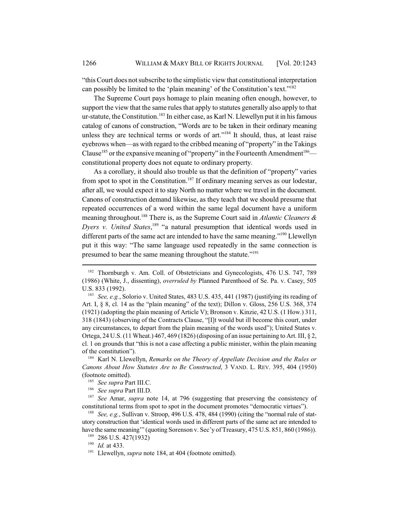"this Court does not subscribe to the simplistic view that constitutional interpretation can possibly be limited to the 'plain meaning' of the Constitution's text."<sup>182</sup>

The Supreme Court pays homage to plain meaning often enough, however, to support the view that the same rules that apply to statutes generally also apply to that ur-statute, the Constitution.<sup>183</sup> In either case, as Karl N. Llewellyn put it in his famous catalog of canons of construction, "Words are to be taken in their ordinary meaning unless they are technical terms or words of art."<sup>184</sup> It should, thus, at least raise eyebrows when—as with regard to the cribbed meaning of "property" in the Takings Clause<sup>185</sup> or the expansive meaning of "property" in the Fourteenth Amendment<sup>186</sup> constitutional property does not equate to ordinary property.

As a corollary, it should also trouble us that the definition of "property" varies from spot to spot in the Constitution.<sup>187</sup> If ordinary meaning serves as our lodestar, after all, we would expect it to stay North no matter where we travel in the document. Canons of construction demand likewise, as they teach that we should presume that repeated occurrences of a word within the same legal document have a uniform meaning throughout.188 There is, as the Supreme Court said in *Atlantic Cleaners &* Dyers v. United States,<sup>189</sup> "a natural presumption that identical words used in different parts of the same act are intended to have the same meaning."<sup>190</sup> Llewellyn put it this way: "The same language used repeatedly in the same connection is presumed to bear the same meaning throughout the statute."191

<sup>&</sup>lt;sup>182</sup> Thornburgh v. Am. Coll. of Obstetricians and Gynecologists, 476 U.S. 747, 789 (1986) (White, J., dissenting), *overruled by* Planned Parenthood of Se. Pa. v. Casey, 505 U.S. 833 (1992).

<sup>183</sup> *See, e.g.*, Solorio v. United States, 483 U.S. 435, 441 (1987) (justifying its reading of Art. I,  $\S$  8, cl. 14 as the "plain meaning" of the text); Dillon v. Gloss, 256 U.S. 368, 374 (1921) (adopting the plain meaning of Article V); Bronson v. Kinzie, 42 U.S. (1 How.) 311, 318 (1843) (observing of the Contracts Clause, "[I]t would but ill become this court, under any circumstances, to depart from the plain meaning of the words used"); United States v. Ortega, 24 U.S. (11 Wheat.) 467, 469 (1826) (disposing of an issue pertaining to Art. III,  $\S$  2, cl. 1 on grounds that "this is not a case affecting a public minister, within the plain meaning of the constitution").

<sup>184</sup> Karl N. Llewellyn, *Remarks on the Theory of Appellate Decision and the Rules or Canons About How Statutes Are to Be Constructed*, 3 VAND. L. REV. 395, 404 (1950) (footnote omitted).

<sup>185</sup> *See supra* Part III.C.

<sup>186</sup> *See supra* Part III.D.

<sup>187</sup> *See* Amar, *supra* note 14, at 796 (suggesting that preserving the consistency of constitutional terms from spot to spot in the document promotes "democratic virtues").

<sup>&</sup>lt;sup>188</sup> *See, e.g.*, Sullivan v. Stroop, 496 U.S. 478, 484 (1990) (citing the "normal rule of statutory construction that 'identical words used in different parts of the same act are intended to have the same meaning" (quoting Sorenson v. Sec'y of Treasury, 475 U.S. 851, 860 (1986)).

<sup>189</sup> 286 U.S. 427(1932)

<sup>190</sup> *Id.* at 433.

<sup>&</sup>lt;sup>191</sup> Llewellyn, *supra* note 184, at 404 (footnote omitted).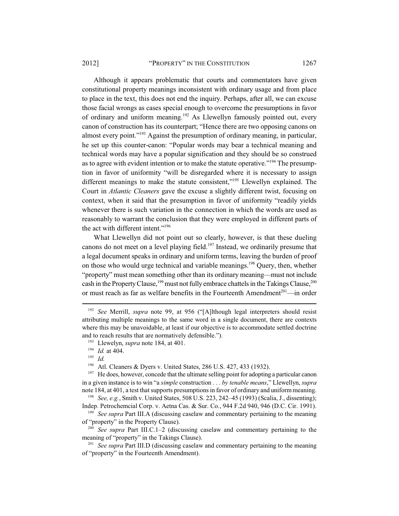#### 2012] "PROPERTY" IN THE CONSTITUTION 1267

Although it appears problematic that courts and commentators have given constitutional property meanings inconsistent with ordinary usage and from place to place in the text, this does not end the inquiry. Perhaps, after all, we can excuse those facial wrongs as cases special enough to overcome the presumptions in favor of ordinary and uniform meaning.<sup>192</sup> As Llewellyn famously pointed out, every canon of construction has its counterpart; "Hence there are two opposing canons on almost every point."193 Against the presumption of ordinary meaning, in particular, he set up this counter-canon: "Popular words may bear a technical meaning and technical words may have a popular signification and they should be so construed as to agree with evident intention or to make the statute operative."194 The presumption in favor of uniformity "will be disregarded where it is necessary to assign different meanings to make the statute consistent,"195 Llewellyn explained. The Court in *Atlantic Cleaners* gave the excuse a slightly different twist, focusing on context, when it said that the presumption in favor of uniformity "readily yields whenever there is such variation in the connection in which the words are used as reasonably to warrant the conclusion that they were employed in different parts of the act with different intent."<sup>196</sup>

What Llewellyn did not point out so clearly, however, is that these dueling canons do not meet on a level playing field.<sup>197</sup> Instead, we ordinarily presume that a legal document speaks in ordinary and uniform terms, leaving the burden of proof on those who would urge technical and variable meanings.<sup>198</sup> Query, then, whether "property" must mean something other than its ordinary meaning—must not include cash in the Property Clause,<sup>199</sup> must not fully embrace chattels in the Takings Clause,<sup>200</sup> or must reach as far as welfare benefits in the Fourteenth Amendment<sup>201</sup>—in order

<sup>192</sup> *See* Merrill, *supra* note 99, at 956 ("[A]lthough legal interpreters should resist attributing multiple meanings to the same word in a single document, there are contexts where this may be unavoidable, at least if our objective is to accommodate settled doctrine and to reach results that are normatively defensible.").

<sup>193</sup> Llewelyn, *supra* note 184, at 401.

 $\frac{194}{195}$  *Id.* at 404.

*Id.* 

<sup>196</sup> Atl. Cleaners & Dyers v. United States, 286 U.S. 427, 433 (1932).

 $197$  He does, however, concede that the ultimate selling point for adopting a particular canon in a given instance is to win "a *simple* construction . . . *by tenable means*," Llewellyn, *supra* note 184, at 401, a test that supports presumptions in favor of ordinary and uniform meaning.

<sup>198</sup> *See, e.g.*, Smith v. United States, 508 U.S. 223, 242–45 (1993) (Scalia, J., dissenting); Indep. Petrochemcial Corp. v. Aetna Cas. & Sur. Co., 944 F.2d 940, 946 (D.C. Cir. 1991).

<sup>199</sup> *See supra* Part III.A (discussing caselaw and commentary pertaining to the meaning of "property" in the Property Clause).

<sup>&</sup>lt;sup>200</sup> See supra Part III.C.1–2 (discussing caselaw and commentary pertaining to the meaning of "property" in the Takings Clause).

<sup>201</sup> *See supra* Part III.D (discussing caselaw and commentary pertaining to the meaning of "property" in the Fourteenth Amendment).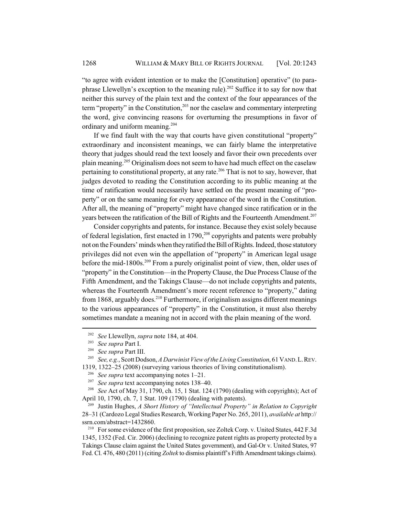"to agree with evident intention or to make the [Constitution] operative" (to paraphrase Llewellyn's exception to the meaning rule).<sup>202</sup> Suffice it to say for now that neither this survey of the plain text and the context of the four appearances of the term "property" in the Constitution, $2^{03}$  nor the caselaw and commentary interpreting the word, give convincing reasons for overturning the presumptions in favor of ordinary and uniform meaning.204

If we find fault with the way that courts have given constitutional "property" extraordinary and inconsistent meanings, we can fairly blame the interpretative theory that judges should read the text loosely and favor their own precedents over plain meaning.205 Originalism does not seem to have had much effect on the caselaw pertaining to constitutional property, at any rate.<sup>206</sup> That is not to say, however, that judges devoted to reading the Constitution according to its public meaning at the time of ratification would necessarily have settled on the present meaning of "property" or on the same meaning for every appearance of the word in the Constitution. After all, the meaning of "property" might have changed since ratification or in the years between the ratification of the Bill of Rights and the Fourteenth Amendment.<sup>207</sup>

Consider copyrights and patents, for instance. Because they exist solely because of federal legislation, first enacted in  $1790$ ,<sup>208</sup> copyrights and patents were probably not on the Founders' minds when they ratified the Bill of Rights. Indeed, those statutory privileges did not even win the appellation of "property" in American legal usage before the mid-1800s.209 From a purely originalist point of view, then, older uses of "property" in the Constitution—in the Property Clause, the Due Process Clause of the Fifth Amendment, and the Takings Clause—do not include copyrights and patents, whereas the Fourteenth Amendment's more recent reference to "property," dating from 1868, arguably does.<sup>210</sup> Furthermore, if originalism assigns different meanings to the various appearances of "property" in the Constitution, it must also thereby sometimes mandate a meaning not in accord with the plain meaning of the word.

<sup>202</sup> *See* Llewellyn, *supra* note 184, at 404.

<sup>203</sup> *See supra* Part I.

<sup>204</sup> *See supra* Part III.

<sup>205</sup> *See, e.g.*, Scott Dodson, *A Darwinist View of the Living Constitution*, 61 VAND.L.REV. 1319, 1322–25 (2008) (surveying various theories of living constitutionalism).

<sup>&</sup>lt;sup>206</sup> *See supra* text accompanying notes  $1-21$ .<br><sup>207</sup> *See supra* text accompanying notes  $138-4$ 

<sup>&</sup>lt;sup>207</sup> *See supra* text accompanying notes 138–40.<br><sup>208</sup> *See* Act of May 31, 1790, ch, 15, 1 Stat, 124

<sup>208</sup> *See* Act of May 31, 1790, ch. 15, 1 Stat. 124 (1790) (dealing with copyrights); Act of April 10, 1790, ch. 7, 1 Stat. 109 (1790) (dealing with patents).

<sup>209</sup> Justin Hughes, *A Short History of "Intellectual Property" in Relation to Copyright* 28–31 (Cardozo Legal Studies Research, Working Paper No. 265, 2011), *available at* http:// ssrn.com/abstract=1432860.

<sup>210</sup> For some evidence of the first proposition, see Zoltek Corp. v. United States, 442 F.3d 1345, 1352 (Fed. Cir. 2006) (declining to recognize patent rights as property protected by a Takings Clause claim against the United States government), and Gal-Or v. United States, 97 Fed. Cl. 476, 480 (2011) (citing *Zoltek* to dismiss plaintiff's Fifth Amendment takings claims).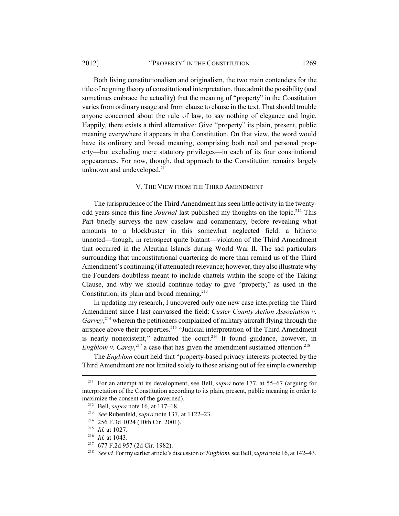#### 2012] **"PROPERTY"** IN THE CONSTITUTION 1269

Both living constitutionalism and originalism, the two main contenders for the title of reigning theory of constitutional interpretation, thus admit the possibility (and sometimes embrace the actuality) that the meaning of "property" in the Constitution varies from ordinary usage and from clause to clause in the text. That should trouble anyone concerned about the rule of law, to say nothing of elegance and logic. Happily, there exists a third alternative: Give "property" its plain, present, public meaning everywhere it appears in the Constitution. On that view, the word would have its ordinary and broad meaning, comprising both real and personal property—but excluding mere statutory privileges—in each of its four constitutional appearances. For now, though, that approach to the Constitution remains largely unknown and undeveloped. $211$ 

#### V. THE VIEW FROM THE THIRD AMENDMENT

The jurisprudence of the Third Amendment has seen little activity in the twentyodd years since this fine *Journal* last published my thoughts on the topic.<sup>212</sup> This Part briefly surveys the new caselaw and commentary, before revealing what amounts to a blockbuster in this somewhat neglected field: a hitherto unnoted—though, in retrospect quite blatant—violation of the Third Amendment that occurred in the Aleutian Islands during World War II. The sad particulars surrounding that unconstitutional quartering do more than remind us of the Third Amendment's continuing (if attenuated) relevance; however, they also illustrate why the Founders doubtless meant to include chattels within the scope of the Taking Clause, and why we should continue today to give "property," as used in the Constitution, its plain and broad meaning. $2^{13}$ 

In updating my research, I uncovered only one new case interpreting the Third Amendment since I last canvassed the field: *Custer County Action Association v.* Garvey,<sup>214</sup> wherein the petitioners complained of military aircraft flying through the airspace above their properties.<sup>215</sup> "Judicial interpretation of the Third Amendment is nearly nonexistent," admitted the court.<sup>216</sup> It found guidance, however, in *Engblom v. Carey*,<sup>217</sup> a case that has given the amendment sustained attention.<sup>218</sup>

The *Engblom* court held that "property-based privacy interests protected by the Third Amendment are not limited solely to those arising out of fee simple ownership

<sup>211</sup> For an attempt at its development, see Bell, *supra* note 177, at 55–67 (arguing for interpretation of the Constitution according to its plain, present, public meaning in order to maximize the consent of the governed).

<sup>212</sup> Bell, *supra* note 16, at 117–18.

<sup>213</sup> *See* Rubenfeld, *supra* note 137, at 1122–23.

<sup>214</sup> 256 F.3d 1024 (10th Cir. 2001).

<sup>215</sup> *Id.* at 1027.

<sup>216</sup> *Id.* at 1043.

<sup>217</sup> 677 F.2d 957 (2d Cir. 1982).

<sup>218</sup> *See id.* For my earlier article's discussion of *Engblom*, see Bell, *supra* note 16, at 142–43.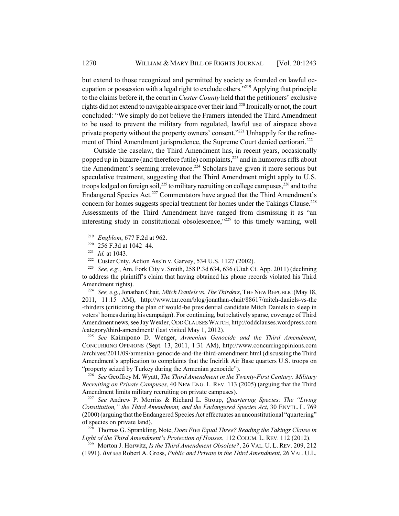but extend to those recognized and permitted by society as founded on lawful occupation or possession with a legal right to exclude others."<sup>219</sup> Applying that principle to the claims before it, the court in *Custer County* held that the petitioners' exclusive rights did not extend to navigable airspace over their land.<sup>220</sup> Ironically or not, the court concluded: "We simply do not believe the Framers intended the Third Amendment to be used to prevent the military from regulated, lawful use of airspace above private property without the property owners' consent."221 Unhappily for the refinement of Third Amendment jurisprudence, the Supreme Court denied certiorari.<sup>222</sup>

Outside the caselaw, the Third Amendment has, in recent years, occasionally popped up in bizarre (and therefore futile) complaints, $^{223}$  and in humorous riffs about the Amendment's seeming irrelevance.<sup>224</sup> Scholars have given it more serious but speculative treatment, suggesting that the Third Amendment might apply to U.S. troops lodged on foreign soil, $^{225}$  to military recruiting on college campuses, $^{226}$  and to the Endangered Species Act.<sup>227</sup> Commentators have argued that the Third Amendment's concern for homes suggests special treatment for homes under the Takings Clause.<sup>228</sup> Assessments of the Third Amendment have ranged from dismissing it as "an interesting study in constitutional obsolescence, $^{3229}$  to this timely warning, well

<sup>224</sup> *See, e.g.*, Jonathan Chait, *Mitch Daniels vs. The Thirders*, THE NEW REPUBLIC (May 18, 2011, 11:15 AM), http://www.tnr.com/blog/jonathan-chait/88617/mitch-daniels-vs-the -thirders (criticizing the plan of would-be presidential candidate Mitch Daniels to sleep in voters' homes during his campaign). For continuing, but relatively sparse, coverage of Third Amendment news, see Jay Wexler, ODD CLAUSES WATCH, http://oddclauses.wordpress.com /category/third-amendment/ (last visited May 1, 2012).

<sup>225</sup> *See* Kaimipono D. Wenger, *Armenian Genocide and the Third Amendment*, CONCURRING OPINIONS (Sept. 13, 2011, 1:31 AM), http://www.concurringopinions.com /archives/2011/09/armenian-genocide-and-the-third-amendment.html (discussing the Third Amendment's application to complaints that the Incirlik Air Base quarters U.S. troops on "property seized by Turkey during the Armenian genocide").

<sup>226</sup> *See* Geoffrey M. Wyatt, *The Third Amendment in the Twenty-First Century: Military Recruiting on Private Campuses*, 40 NEW ENG. L. REV. 113 (2005) (arguing that the Third Amendment limits military recruiting on private campuses).

<sup>227</sup> *See* Andrew P. Morriss & Richard L. Stroup, *Quartering Species: The "Living Constitution," the Third Amendment, and the Endangered Species Act*, 30 ENVTL. L. 769 (2000) (arguing that the Endangered Species Act effectuates an unconstitutional "quartering" of species on private land).

<sup>228</sup> Thomas G. Sprankling, Note, *Does Five Equal Three? Reading the Takings Clause in Light of the Third Amendment's Protection of Houses*, 112 COLUM. L. REV. 112 (2012).

<sup>229</sup> Morton J. Horwitz, *Is the Third Amendment Obsolete?*, 26 VAL. U. L. REV. 209, 212 (1991). *But see* Robert A. Gross, *Public and Private in the Third Amendment*, 26 VAL. U.L.

<sup>219</sup> *Engblom*, 677 F.2d at 962.

<sup>220</sup> 256 F.3d at 1042–44.

<sup>221</sup> *Id.* at 1043.

<sup>&</sup>lt;sup>222</sup> Custer Cnty. Action Ass'n v. Garvey, 534 U.S. 1127 (2002).

<sup>223</sup> *See, e.g.*, Am. Fork City v. Smith, 258 P.3d 634, 636 (Utah Ct. App. 2011) (declining to address the plaintiff's claim that having obtained his phone records violated his Third Amendment rights).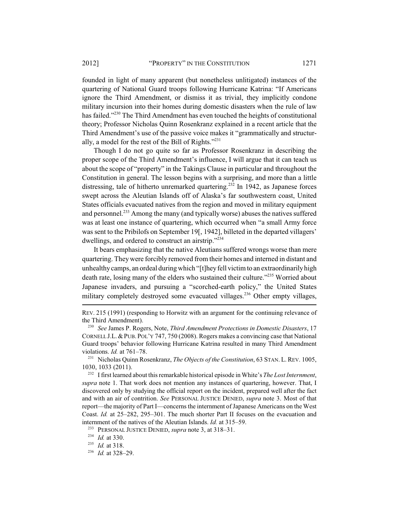founded in light of many apparent (but nonetheless unlitigated) instances of the quartering of National Guard troops following Hurricane Katrina: "If Americans ignore the Third Amendment, or dismiss it as trivial, they implicitly condone military incursion into their homes during domestic disasters when the rule of law has failed."<sup>230</sup> The Third Amendment has even touched the heights of constitutional theory; Professor Nicholas Quinn Rosenkranz explained in a recent article that the Third Amendment's use of the passive voice makes it "grammatically and structurally, a model for the rest of the Bill of Rights."231

Though I do not go quite so far as Professor Rosenkranz in describing the proper scope of the Third Amendment's influence, I will argue that it can teach us about the scope of "property" in the Takings Clause in particular and throughout the Constitution in general. The lesson begins with a surprising, and more than a little distressing, tale of hitherto unremarked quartering.<sup>232</sup> In 1942, as Japanese forces swept across the Aleutian Islands off of Alaska's far southwestern coast, United States officials evacuated natives from the region and moved in military equipment and personnel.<sup>233</sup> Among the many (and typically worse) abuses the natives suffered was at least one instance of quartering, which occurred when "a small Army force was sent to the Pribilofs on September 19[, 1942], billeted in the departed villagers' dwellings, and ordered to construct an airstrip."<sup>234</sup>

It bears emphasizing that the native Aleutians suffered wrongs worse than mere quartering. They were forcibly removed from their homes and interned in distant and unhealthy camps, an ordeal during which "[t]hey fell victim to an extraordinarily high death rate, losing many of the elders who sustained their culture."<sup>235</sup> Worried about Japanese invaders, and pursuing a "scorched-earth policy," the United States military completely destroyed some evacuated villages.<sup>236</sup> Other empty villages,

REV. 215 (1991) (responding to Horwitz with an argument for the continuing relevance of the Third Amendment).

<sup>230</sup> *See* James P. Rogers, Note, *Third Amendment Protections in Domestic Disasters*, 17 CORNELL J.L.&PUB. POL'Y 747, 750 (2008). Rogers makes a convincing case that National Guard troops' behavior following Hurricane Katrina resulted in many Third Amendment violations. *Id.* at 761–78.

<sup>231</sup> Nicholas Quinn Rosenkranz, *The Objects of the Constitution*, 63 STAN. L. REV. 1005, 1030, 1033 (2011).

<sup>232</sup> I first learned about this remarkable historical episode in White's *The Lost Internment*, *supra* note 1. That work does not mention any instances of quartering, however. That, I discovered only by studying the official report on the incident, prepared well after the fact and with an air of contrition. *See* PERSONAL JUSTICE DENIED, *supra* note 3. Most of that report—the majority of Part I—concerns the internment of Japanese Americans on the West Coast. *Id.* at 25–282, 295–301. The much shorter Part II focuses on the evacuation and internment of the natives of the Aleutian Islands. *Id.* at 315–59.

<sup>233</sup> PERSONAL JUSTICE DENIED, *supra* note 3, at 318–31.

<sup>234</sup> *Id.* at 330.

<sup>235</sup> *Id.* at 318.

<sup>236</sup> *Id.* at 328–29.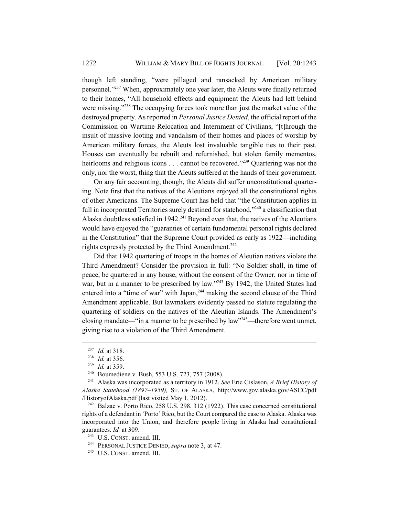though left standing, "were pillaged and ransacked by American military personnel."237 When, approximately one year later, the Aleuts were finally returned to their homes, "All household effects and equipment the Aleuts had left behind were missing."<sup>238</sup> The occupying forces took more than just the market value of the destroyed property. As reported in *Personal Justice Denied*, the official report of the Commission on Wartime Relocation and Internment of Civilians, "[t]hrough the insult of massive looting and vandalism of their homes and places of worship by American military forces, the Aleuts lost invaluable tangible ties to their past. Houses can eventually be rebuilt and refurnished, but stolen family mementos, heirlooms and religious icons . . . cannot be recovered."<sup>239</sup> Ouartering was not the only, nor the worst, thing that the Aleuts suffered at the hands of their government.

On any fair accounting, though, the Aleuts did suffer unconstitutional quartering. Note first that the natives of the Aleutians enjoyed all the constitutional rights of other Americans. The Supreme Court has held that "the Constitution applies in full in incorporated Territories surely destined for statehood,"<sup>240</sup> a classification that Alaska doubtless satisfied in  $1942<sup>241</sup>$  Beyond even that, the natives of the Aleutians would have enjoyed the "guaranties of certain fundamental personal rights declared in the Constitution" that the Supreme Court provided as early as 1922—including rights expressly protected by the Third Amendment.<sup>242</sup>

Did that 1942 quartering of troops in the homes of Aleutian natives violate the Third Amendment? Consider the provision in full: "No Soldier shall, in time of peace, be quartered in any house, without the consent of the Owner, nor in time of war, but in a manner to be prescribed by law."<sup>243</sup> By 1942, the United States had entered into a "time of war" with Japan,<sup>244</sup> making the second clause of the Third Amendment applicable. But lawmakers evidently passed no statute regulating the quartering of soldiers on the natives of the Aleutian Islands. The Amendment's closing mandate—"in a manner to be prescribed by law"<sup>245</sup>—therefore went unmet, giving rise to a violation of the Third Amendment.

 $242$  Balzac v. Porto Rico, 258 U.S. 298, 312 (1922). This case concerned constitutional rights of a defendant in 'Porto' Rico, but the Court compared the case to Alaska. Alaska was incorporated into the Union, and therefore people living in Alaska had constitutional guarantees. *Id.* at 309.

<sup>237</sup> *Id.* at 318.

<sup>238</sup> *Id.* at 356.

 $\frac{239}{240}$  *Id.* at 359.

<sup>&</sup>lt;sup>240</sup> Boumediene v. Bush, 553 U.S. 723, 757 (2008).<sup>241</sup> Alaska was incorporated as a territory in 1912.

<sup>241</sup> Alaska was incorporated as a territory in 1912. *See* Eric Gislason, *A Brief History of Alaska Statehood (1897*–*1959),* ST. OF ALASKA, http://www.gov.alaska.gov/ASCC/pdf /HistoryofAlaska.pdf (last visited May 1, 2012).

<sup>243</sup> U.S. CONST. amend. III.

<sup>244</sup> PERSONAL JUSTICE DENIED, *supra* note 3, at 47.

<sup>245</sup> U.S. CONST. amend. III.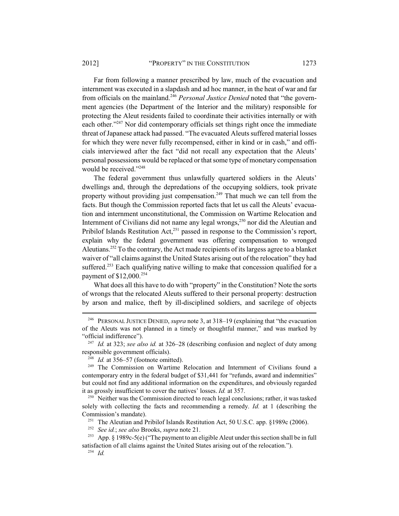Far from following a manner prescribed by law, much of the evacuation and internment was executed in a slapdash and ad hoc manner, in the heat of war and far from officials on the mainland.246 *Personal Justice Denied* noted that "the government agencies (the Department of the Interior and the military) responsible for protecting the Aleut residents failed to coordinate their activities internally or with each other."<sup>247</sup> Nor did contemporary officials set things right once the immediate threat of Japanese attack had passed. "The evacuated Aleuts suffered material losses for which they were never fully recompensed, either in kind or in cash," and officials interviewed after the fact "did not recall any expectation that the Aleuts' personal possessions would be replaced or that some type of monetary compensation would be received."<sup>248</sup>

The federal government thus unlawfully quartered soldiers in the Aleuts' dwellings and, through the depredations of the occupying soldiers, took private property without providing just compensation.<sup>249</sup> That much we can tell from the facts. But though the Commission reported facts that let us call the Aleuts' evacuation and internment unconstitutional, the Commission on Wartime Relocation and Internment of Civilians did not name any legal wrongs, $250$  nor did the Aleutian and Pribilof Islands Restitution Act,<sup>251</sup> passed in response to the Commission's report, explain why the federal government was offering compensation to wronged Aleutians.<sup>252</sup> To the contrary, the Act made recipients of its largess agree to a blanket waiver of "all claims against the United States arising out of the relocation" they had suffered.<sup>253</sup> Each qualifying native willing to make that concession qualified for a payment of \$12,000.254

What does all this have to do with "property" in the Constitution? Note the sorts of wrongs that the relocated Aleuts suffered to their personal property: destruction by arson and malice, theft by ill-disciplined soldiers, and sacrilege of objects

<sup>246</sup> PERSONAL JUSTICE DENIED, *supra* note 3, at 318–19 (explaining that "the evacuation of the Aleuts was not planned in a timely or thoughtful manner," and was marked by "official indifference").

<sup>247</sup> *Id.* at 323; *see also id.* at 326–28 (describing confusion and neglect of duty among responsible government officials).

<sup>&</sup>lt;sup>248</sup> *Id.* at 356–57 (footnote omitted).

<sup>&</sup>lt;sup>249</sup> The Commission on Wartime Relocation and Internment of Civilians found a contemporary entry in the federal budget of \$31,441 for "refunds, award and indemnities" but could not find any additional information on the expenditures, and obviously regarded it as grossly insufficient to cover the natives' losses. *Id.* at 357.

<sup>&</sup>lt;sup>250</sup> Neither was the Commission directed to reach legal conclusions; rather, it was tasked solely with collecting the facts and recommending a remedy. *Id.* at 1 (describing the Commission's mandate).

<sup>251</sup> The Aleutian and Pribilof Islands Restitution Act, 50 U.S.C. app. §1989c (2006).

<sup>252</sup> *See id.*; *see also* Brooks, *supra* note 21.

<sup>&</sup>lt;sup>253</sup> App. § 1989c-5(e) ("The payment to an eligible Aleut under this section shall be in full satisfaction of all claims against the United States arising out of the relocation.").

<sup>254</sup> *Id.*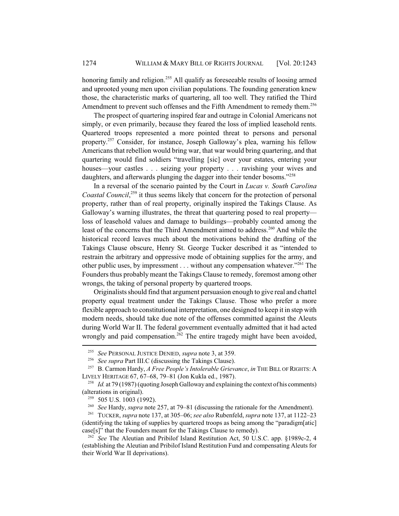honoring family and religion.<sup>255</sup> All qualify as foreseeable results of loosing armed and uprooted young men upon civilian populations. The founding generation knew those, the characteristic marks of quartering, all too well. They ratified the Third Amendment to prevent such offenses and the Fifth Amendment to remedy them.<sup>256</sup>

The prospect of quartering inspired fear and outrage in Colonial Americans not simply, or even primarily, because they feared the loss of implied leasehold rents. Quartered troops represented a more pointed threat to persons and personal property.257 Consider, for instance, Joseph Galloway's plea, warning his fellow Americans that rebellion would bring war, that war would bring quartering, and that quartering would find soldiers "travelling [sic] over your estates, entering your houses—your castles . . . seizing your property . . . ravishing your wives and daughters, and afterwards plunging the dagger into their tender bosoms."<sup>258</sup>

In a reversal of the scenario painted by the Court in *Lucas v. South Carolina Coastal Council*, 259 it thus seems likely that concern for the protection of personal property, rather than of real property, originally inspired the Takings Clause. As Galloway's warning illustrates, the threat that quartering posed to real property loss of leasehold values and damage to buildings—probably counted among the least of the concerns that the Third Amendment aimed to address.<sup>260</sup> And while the historical record leaves much about the motivations behind the drafting of the Takings Clause obscure, Henry St. George Tucker described it as "intended to restrain the arbitrary and oppressive mode of obtaining supplies for the army, and other public uses, by impressment . . . without any compensation whatever."261 The Founders thus probably meant the Takings Clause to remedy, foremost among other wrongs, the taking of personal property by quartered troops.

Originalists should find that argument persuasion enough to give real and chattel property equal treatment under the Takings Clause. Those who prefer a more flexible approach to constitutional interpretation, one designed to keep it in step with modern needs, should take due note of the offenses committed against the Aleuts during World War II. The federal government eventually admitted that it had acted wrongly and paid compensation.<sup>262</sup> The entire tragedy might have been avoided,

<sup>260</sup> *See* Hardy, *supra* note 257, at 79–81 (discussing the rationale for the Amendment).

<sup>261</sup> TUCKER, *supra* note 137, at 305–06; *see also* Rubenfeld, *supra* note 137, at 1122–23 (identifying the taking of supplies by quartered troops as being among the "paradigm[atic] case[s]" that the Founders meant for the Takings Clause to remedy).

<sup>262</sup> *See* The Aleutian and Pribilof Island Restitution Act, 50 U.S.C. app. §1989c-2, 4 (establishing the Aleutian and Pribilof Island Restitution Fund and compensating Aleuts for their World War II deprivations).

<sup>255</sup> *See* PERSONAL JUSTICE DENIED, *supra* note 3, at 359.

<sup>256</sup> *See supra* Part III.C (discussing the Takings Clause).

<sup>257</sup> B. Carmon Hardy, *A Free People's Intolerable Grievance*, *in* THE BILL OF RIGHTS: A LIVELY HERITAGE 67, 67–68, 79–81 (Jon Kukla ed., 1987).

<sup>&</sup>lt;sup>258</sup> *Id.* at 79 (1987) (quoting Joseph Galloway and explaining the context of his comments) (alterations in original).

 $259$  505 U.S. 1003 (1992).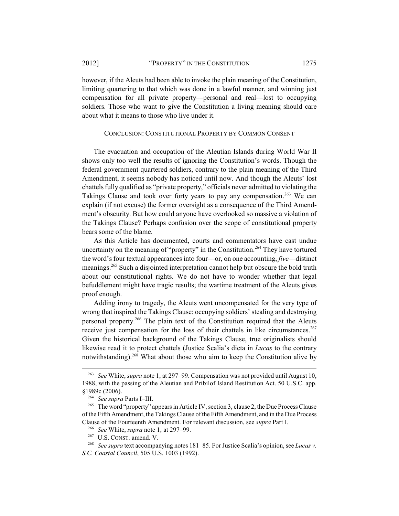however, if the Aleuts had been able to invoke the plain meaning of the Constitution, limiting quartering to that which was done in a lawful manner, and winning just compensation for all private property—personal and real—lost to occupying soldiers. Those who want to give the Constitution a living meaning should care about what it means to those who live under it.

# CONCLUSION: CONSTITUTIONAL PROPERTY BY COMMON CONSENT

The evacuation and occupation of the Aleutian Islands during World War II shows only too well the results of ignoring the Constitution's words. Though the federal government quartered soldiers, contrary to the plain meaning of the Third Amendment, it seems nobody has noticed until now. And though the Aleuts' lost chattels fully qualified as "private property," officials never admitted to violating the Takings Clause and took over forty years to pay any compensation.<sup>263</sup> We can explain (if not excuse) the former oversight as a consequence of the Third Amendment's obscurity. But how could anyone have overlooked so massive a violation of the Takings Clause? Perhaps confusion over the scope of constitutional property bears some of the blame.

As this Article has documented, courts and commentators have cast undue uncertainty on the meaning of "property" in the Constitution.<sup>264</sup> They have tortured the word's four textual appearances into four—or, on one accounting, *five*—distinct meanings.<sup>265</sup> Such a disjointed interpretation cannot help but obscure the bold truth about our constitutional rights. We do not have to wonder whether that legal befuddlement might have tragic results; the wartime treatment of the Aleuts gives proof enough.

Adding irony to tragedy, the Aleuts went uncompensated for the very type of wrong that inspired the Takings Clause: occupying soldiers' stealing and destroying personal property.266 The plain text of the Constitution required that the Aleuts receive just compensation for the loss of their chattels in like circumstances.<sup>267</sup> Given the historical background of the Takings Clause, true originalists should likewise read it to protect chattels (Justice Scalia's dicta in *Lucas* to the contrary notwithstanding).268 What about those who aim to keep the Constitution alive by

<sup>263</sup> *See* White, *supra* note 1, at 297–99. Compensation was not provided until August 10, 1988, with the passing of the Aleutian and Pribilof Island Restitution Act. 50 U.S.C. app. §1989c (2006).

<sup>264</sup> *See supra* Parts I–III.

<sup>&</sup>lt;sup>265</sup> The word "property" appears in Article IV, section 3, clause 2, the Due Process Clause of the Fifth Amendment, the Takings Clause of the Fifth Amendment, and in the Due Process Clause of the Fourteenth Amendment. For relevant discussion, see *supra* Part I.

<sup>266</sup> *See* White, *supra* note 1, at 297–99.

<sup>267</sup> U.S. CONST. amend. V.

<sup>268</sup> *See supra* text accompanying notes 181–85. For Justice Scalia's opinion, see *Lucas v. S.C. Coastal Council*, 505 U.S. 1003 (1992).